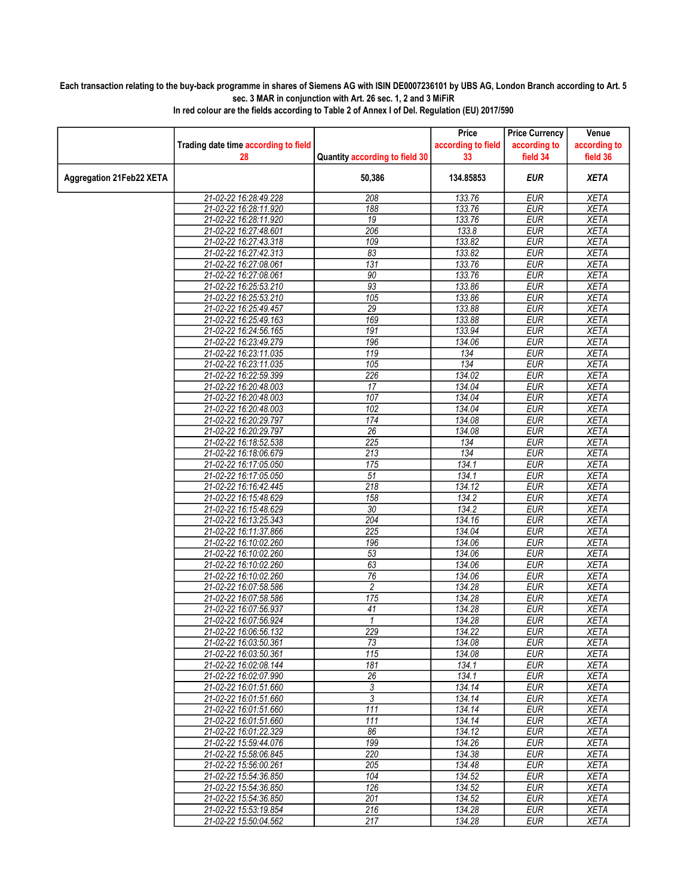## Each transaction relating to the buy-back programme in shares of Siemens AG with ISIN DE0007236101 by UBS AG, London Branch according to Art. 5 sec. 3 MAR in conjunction with Art. 26 sec. 1, 2 and 3 MiFiR

|                          |                                                |                                | Price              | <b>Price Currency</b>    | Venue                      |
|--------------------------|------------------------------------------------|--------------------------------|--------------------|--------------------------|----------------------------|
|                          | Trading date time according to field           |                                | according to field | according to             | according to               |
|                          | 28                                             | Quantity according to field 30 | 33                 | field 34                 | field 36                   |
| Aggregation 21Feb22 XETA |                                                | 50,386                         | 134.85853          | <b>EUR</b>               | <b>XETA</b>                |
|                          | 21-02-22 16:28:49.228                          | 208                            | 133.76             | <b>EUR</b>               | <b>XETA</b>                |
|                          | 21-02-22 16:28:11.920                          | 188                            | 133.76             | <b>EUR</b>               | <b>XETA</b>                |
|                          | 21-02-22 16:28:11.920                          | 19                             | 133.76             | <b>EUR</b>               | <b>XETA</b>                |
|                          | 21-02-22 16:27:48.601                          | 206                            | 133.8              | <b>EUR</b>               | <b>XETA</b>                |
|                          | 21-02-22 16:27:43.318                          | 109                            | 133.82             | <b>EUR</b>               | <b>XETA</b>                |
|                          | 21-02-22 16:27:42.313                          | 83                             | 133.82             | <b>EUR</b>               | <b>XETA</b>                |
|                          | 21-02-22 16:27:08.061                          | 131                            | 133.76             | <b>EUR</b>               | <b>XETA</b>                |
|                          | 21-02-22 16:27:08.061                          | 90                             | 133.76             | <b>EUR</b>               | <b>XETA</b>                |
|                          | 21-02-22 16:25:53.210                          | 93                             | 133.86             | <b>EUR</b>               | <b>XETA</b>                |
|                          | 21-02-22 16:25:53.210                          | 105                            | 133.86             | <b>EUR</b>               | <b>XETA</b>                |
|                          | 21-02-22 16:25:49.457                          | 29                             | 133.88             | <b>EUR</b>               | <b>XETA</b>                |
|                          | 21-02-22 16:25:49.163                          | 169                            | 133.88             | <b>EUR</b>               | <b>XETA</b>                |
|                          | 21-02-22 16:24:56.165                          | 191                            | 133.94             | <b>EUR</b>               | <b>XETA</b>                |
|                          | 21-02-22 16:23:49.279                          | 196                            | 134.06             | <b>EUR</b>               | <b>XETA</b>                |
|                          | 21-02-22 16:23:11.035                          | 119                            | 134                | <b>EUR</b>               | <b>XETA</b>                |
|                          | 21-02-22 16:23:11.035                          | 105                            | 134                | <b>EUR</b>               | <b>XETA</b>                |
|                          | 21-02-22 16:22:59.399                          | 226                            | 134.02             | <b>EUR</b>               | <b>XETA</b>                |
|                          | 21-02-22 16:20:48.003                          | 17                             | 134.04             | <b>EUR</b>               | <b>XETA</b>                |
|                          | 21-02-22 16:20:48.003                          | 107                            | 134.04             | <b>EUR</b>               | <b>XETA</b>                |
|                          | 21-02-22 16:20:48.003                          | 102                            | 134.04             | EUR                      | <b>XETA</b>                |
|                          | 21-02-22 16:20:29.797                          | 174                            | 134.08             | <b>EUR</b>               | <b>XETA</b>                |
|                          | 21-02-22 16:20:29.797                          | 26                             | 134.08             | <b>EUR</b>               | <b>XETA</b>                |
|                          | 21-02-22 16:18:52.538                          | $\overline{225}$               | 134                | <b>EUR</b>               | <b>XETA</b>                |
|                          | 21-02-22 16:18:06.679                          | $\overline{213}$<br>175        | 134<br>134.1       | <b>EUR</b><br><b>EUR</b> | <b>XETA</b><br><b>XETA</b> |
|                          | 21-02-22 16:17:05.050<br>21-02-22 16:17:05.050 | $\overline{51}$                | 134.1              | <b>EUR</b>               | <b>XETA</b>                |
|                          | 21-02-22 16:16:42.445                          | 218                            | 134.12             | <b>EUR</b>               | <b>XETA</b>                |
|                          | 21-02-22 16:15:48.629                          | 158                            | 134.2              | <b>EUR</b>               | <b>XETA</b>                |
|                          | 21-02-22 16:15:48.629                          | 30                             | 134.2              | <b>EUR</b>               | <b>XETA</b>                |
|                          | 21-02-22 16:13:25.343                          | 204                            | 134.16             | <b>EUR</b>               | <b>XETA</b>                |
|                          | 21-02-22 16:11:37.866                          | 225                            | 134.04             | <b>EUR</b>               | <b>XETA</b>                |
|                          | 21-02-22 16:10:02.260                          | 196                            | 134.06             | <b>EUR</b>               | <b>XETA</b>                |
|                          | 21-02-22 16:10:02.260                          | $\overline{53}$                | 134.06             | <b>EUR</b>               | <b>XETA</b>                |
|                          | 21-02-22 16:10:02.260                          | 63                             | 134.06             | <b>EUR</b>               | <b>XETA</b>                |
|                          | 21-02-22 16:10:02.260                          | 76                             | 134.06             | <b>EUR</b>               | <b>XETA</b>                |
|                          | 21-02-22 16:07:58.586                          | 2                              | 134.28             | <b>EUR</b>               | <b>XETA</b>                |
|                          | 21-02-22 16:07:58.586                          | 175                            | 134.28             | <b>EUR</b>               | <b>XETA</b>                |
|                          | 21-02-22 16:07:56.937                          | 41                             | 134.28             | <b>EUR</b>               | <b>XETA</b>                |
|                          | 21-02-22 16:07:56.924                          | $\mathbf{1}$                   | 134.28             | <b>EUR</b>               | XETA                       |
|                          | 21-02-22 16:06:56.132                          | 229                            | 134.22             | <b>EUR</b>               | <b>XETA</b>                |
|                          | 21-02-22 16:03:50.361                          | 73                             | 134.08             | EUR                      | XETA                       |
|                          | 21-02-22 16:03:50.361                          | 115                            | 134.08             | <b>EUR</b>               | <b>XETA</b>                |
|                          | 21-02-22 16:02:08.144                          | 181                            | 134.1              | <b>EUR</b>               | <b>XETA</b>                |
|                          | 21-02-22 16:02:07.990                          | 26                             | 134.1              | <b>EUR</b>               | <b>XETA</b>                |
|                          | 21-02-22 16:01:51.660                          | 3                              | 134.14             | <b>EUR</b>               | <b>XETA</b>                |
|                          | 21-02-22 16:01:51.660                          | 3                              | 134.14             | <b>EUR</b>               | <b>XETA</b>                |
|                          | 21-02-22 16:01:51.660                          | 111                            | 134.14             | <b>EUR</b>               | <b>XETA</b>                |
|                          | 21-02-22 16:01:51.660                          | 111                            | 134.14             | <b>EUR</b>               | <b>XETA</b>                |
|                          | 21-02-22 16:01:22.329                          | 86                             | 134.12             | <b>EUR</b>               | <b>XETA</b>                |
|                          | 21-02-22 15:59:44.076                          | 199                            | 134.26             | <b>EUR</b>               | <b>XETA</b>                |
|                          | 21-02-22 15:58:06.845                          | 220                            | 134.38             | <b>EUR</b>               | <b>XETA</b>                |
|                          | 21-02-22 15:56:00.261                          | 205                            | 134.48             | <b>EUR</b>               | <b>XETA</b>                |
|                          | 21-02-22 15:54:36.850                          | 104                            | 134.52             | <b>EUR</b>               | <b>XETA</b>                |
|                          | 21-02-22 15:54:36.850                          | 126                            | 134.52             | <b>EUR</b>               | <b>XETA</b>                |
|                          | 21-02-22 15:54:36.850                          | 201                            | 134.52             | <b>EUR</b>               | <b>XETA</b>                |
|                          | 21-02-22 15:53:19.854                          | 216                            | 134.28             | <b>EUR</b>               | <b>XETA</b>                |
|                          | 21-02-22 15:50:04.562                          | 217                            | 134.28             | EUR                      | <b>XETA</b>                |

In red colour are the fields according to Table 2 of Annex I of Del. Regulation (EU) 2017/590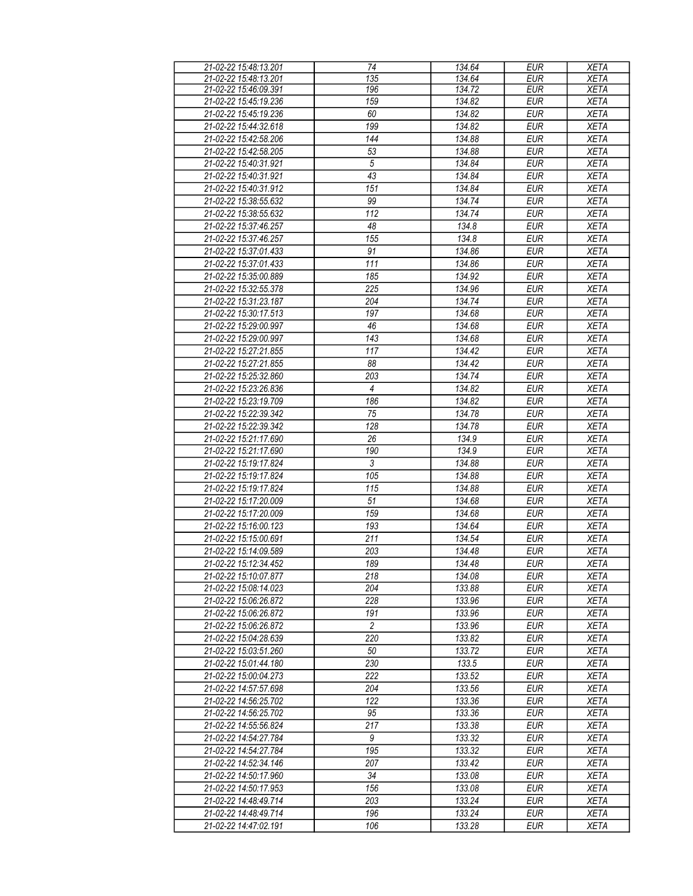| 21-02-22 15:48:13.201 | 74               | 134.64 | <b>EUR</b> | <b>XETA</b> |
|-----------------------|------------------|--------|------------|-------------|
| 21-02-22 15:48:13.201 | 135              | 134.64 | EUR        | <b>XETA</b> |
| 21-02-22 15:46:09.391 | 196              | 134.72 | <b>EUR</b> | <b>XETA</b> |
| 21-02-22 15:45:19.236 | 159              | 134.82 | <b>EUR</b> | <b>XETA</b> |
| 21-02-22 15:45:19.236 | 60               | 134.82 | <b>EUR</b> | <b>XETA</b> |
| 21-02-22 15:44:32.618 | 199              | 134.82 | <b>EUR</b> | <b>XETA</b> |
| 21-02-22 15:42:58.206 | 144              | 134.88 | <b>EUR</b> | <b>XETA</b> |
|                       |                  |        |            |             |
| 21-02-22 15:42:58.205 | 53               | 134.88 | <b>EUR</b> | <b>XETA</b> |
| 21-02-22 15:40:31.921 | $\sqrt{5}$       | 134.84 | <b>EUR</b> | <b>XETA</b> |
| 21-02-22 15:40:31.921 | $\overline{43}$  | 134.84 | <b>EUR</b> | <b>XETA</b> |
| 21-02-22 15:40:31.912 | 151              | 134.84 | <b>EUR</b> | <b>XETA</b> |
| 21-02-22 15:38:55.632 | 99               | 134.74 | <b>EUR</b> | <b>XETA</b> |
| 21-02-22 15:38:55.632 | 112              | 134.74 | <b>EUR</b> | <b>XETA</b> |
| 21-02-22 15:37:46.257 | 48               | 134.8  | <b>EUR</b> | <b>XETA</b> |
| 21-02-22 15:37:46.257 | 155              | 134.8  | <b>EUR</b> | <b>XETA</b> |
| 21-02-22 15:37:01.433 | 91               | 134.86 | <b>EUR</b> | <b>XETA</b> |
| 21-02-22 15:37:01.433 | 111              | 134.86 | <b>EUR</b> | <b>XETA</b> |
| 21-02-22 15:35:00.889 | 185              | 134.92 | <b>EUR</b> | <b>XETA</b> |
| 21-02-22 15:32:55.378 | 225              | 134.96 | <b>EUR</b> | <b>XETA</b> |
| 21-02-22 15:31:23.187 | 204              | 134.74 | <b>EUR</b> | <b>XETA</b> |
|                       |                  |        |            |             |
| 21-02-22 15:30:17.513 | 197              | 134.68 | <b>EUR</b> | <b>XETA</b> |
| 21-02-22 15:29:00.997 | 46               | 134.68 | <b>EUR</b> | <b>XETA</b> |
| 21-02-22 15:29:00.997 | 143              | 134.68 | EUR        | <b>XETA</b> |
| 21-02-22 15:27:21.855 | 117              | 134.42 | <b>EUR</b> | <b>XETA</b> |
| 21-02-22 15:27:21.855 | 88               | 134.42 | <b>EUR</b> | <b>XETA</b> |
| 21-02-22 15:25:32.860 | 203              | 134.74 | <b>EUR</b> | <b>XETA</b> |
| 21-02-22 15:23:26.836 | 4                | 134.82 | <b>EUR</b> | <b>XETA</b> |
| 21-02-22 15:23:19.709 | 186              | 134.82 | <b>EUR</b> | <b>XETA</b> |
| 21-02-22 15:22:39.342 | 75               | 134.78 | <b>EUR</b> | <b>XETA</b> |
| 21-02-22 15:22:39.342 | 128              | 134.78 | <b>EUR</b> | <b>XETA</b> |
| 21-02-22 15:21:17.690 | 26               | 134.9  | <b>EUR</b> | <b>XETA</b> |
| 21-02-22 15:21:17.690 | 190              | 134.9  | <b>EUR</b> | <b>XETA</b> |
| 21-02-22 15:19:17.824 | $\mathfrak{Z}$   | 134.88 | <b>EUR</b> | <b>XETA</b> |
| 21-02-22 15:19:17.824 | 105              | 134.88 | <b>EUR</b> | <b>XETA</b> |
| 21-02-22 15:19:17.824 | 115              | 134.88 | <b>EUR</b> | <b>XETA</b> |
| 21-02-22 15:17:20.009 | 51               | 134.68 | <b>EUR</b> | <b>XETA</b> |
| 21-02-22 15:17:20.009 | 159              | 134.68 | <b>EUR</b> | <b>XETA</b> |
| 21-02-22 15:16:00.123 | 193              | 134.64 | <b>EUR</b> | <b>XETA</b> |
| 21-02-22 15:15:00.691 |                  |        |            |             |
|                       | 211              | 134.54 | <b>EUR</b> | <b>XETA</b> |
| 21-02-22 15:14:09.589 | 203              | 134.48 | <b>EUR</b> | <b>XETA</b> |
| 21-02-22 15:12:34.452 | 189              | 134.48 | <b>EUR</b> | <b>XETA</b> |
| 21-02-22 15:10:07.877 | 218              | 134.08 | <b>EUR</b> | <b>XETA</b> |
| 21-02-22 15:08:14.023 | 204              | 133.88 | EUR        | <b>XETA</b> |
| 21-02-22 15:06:26.872 | 228              | 133.96 | <b>EUR</b> | <b>XETA</b> |
| 21-02-22 15:06:26.872 | 191              | 133.96 | <b>EUR</b> | <b>XETA</b> |
| 21-02-22 15:06:26.872 | $\overline{c}$   | 133.96 | <b>EUR</b> | <b>XETA</b> |
| 21-02-22 15:04:28.639 | 220              | 133.82 | <b>EUR</b> | <b>XETA</b> |
| 21-02-22 15:03:51.260 | 50               | 133.72 | <b>EUR</b> | <b>XETA</b> |
| 21-02-22 15:01:44.180 | 230              | 133.5  | <b>EUR</b> | <b>XETA</b> |
| 21-02-22 15:00:04.273 | 222              | 133.52 | <b>EUR</b> | <b>XETA</b> |
| 21-02-22 14:57:57.698 | 204              | 133.56 | <b>EUR</b> | <b>XETA</b> |
| 21-02-22 14:56:25.702 | 122              | 133.36 | <b>EUR</b> | <b>XETA</b> |
| 21-02-22 14:56:25.702 | 95               | 133.36 | <b>EUR</b> | <b>XETA</b> |
| 21-02-22 14:55:56.824 | 217              | 133.38 | <b>EUR</b> | <b>XETA</b> |
| 21-02-22 14:54:27.784 | $\boldsymbol{9}$ | 133.32 | <b>EUR</b> | <b>XETA</b> |
| 21-02-22 14:54:27.784 | 195              | 133.32 | <b>EUR</b> | <b>XETA</b> |
| 21-02-22 14:52:34.146 | 207              |        |            |             |
|                       |                  | 133.42 | <b>EUR</b> | <b>XETA</b> |
| 21-02-22 14:50:17.960 | 34               | 133.08 | <b>EUR</b> | <b>XETA</b> |
| 21-02-22 14:50:17.953 | 156              | 133.08 | <b>EUR</b> | <b>XETA</b> |
| 21-02-22 14:48:49.714 | 203              | 133.24 | <b>EUR</b> | <b>XETA</b> |
| 21-02-22 14:48:49.714 | 196              | 133.24 | <b>EUR</b> | <b>XETA</b> |
| 21-02-22 14:47:02.191 | 106              | 133.28 | <b>EUR</b> | <b>XETA</b> |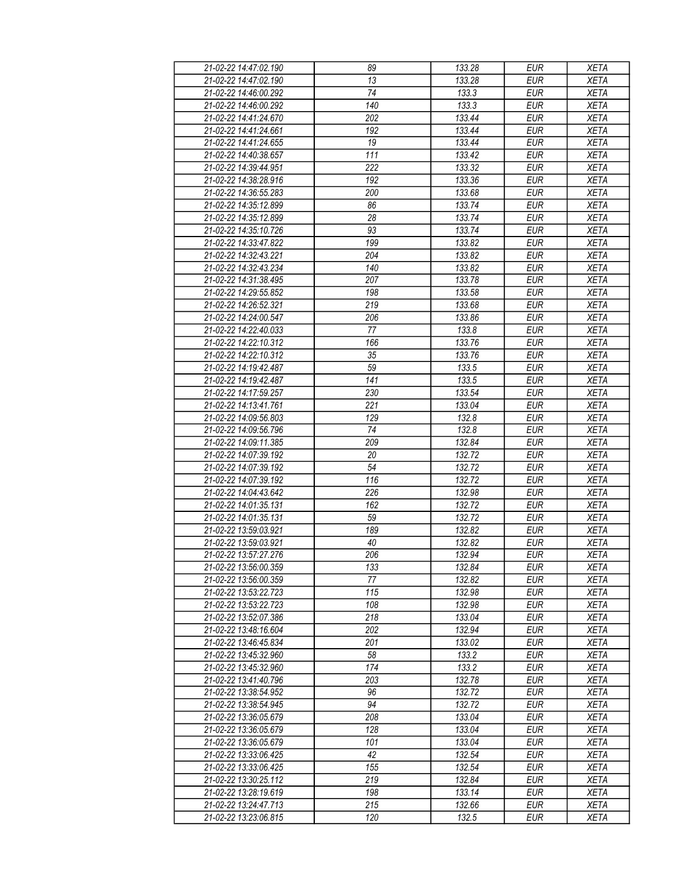| 13<br>133.28<br><b>EUR</b><br>21-02-22 14:47:02.190<br>$\overline{74}$<br>21-02-22 14:46:00.292<br>133.3<br><b>EUR</b><br>140<br>21-02-22 14:46:00.292<br>133.3<br><b>EUR</b><br>21-02-22 14:41:24.670<br>202<br>133.44<br><b>EUR</b><br><b>EUR</b><br>21-02-22 14:41:24.661<br>192<br>133.44<br><b>EUR</b><br>21-02-22 14:41:24 655<br>19<br>133.44<br>111<br><b>EUR</b><br>21-02-22 14:40:38.657<br>133.42<br>222<br>21-02-22 14:39:44.951<br>133.32<br><b>EUR</b><br>21-02-22 14:38:28.916<br>192<br><b>EUR</b><br>133.36 | <b>XETA</b><br><b>XETA</b><br><b>XETA</b> |
|------------------------------------------------------------------------------------------------------------------------------------------------------------------------------------------------------------------------------------------------------------------------------------------------------------------------------------------------------------------------------------------------------------------------------------------------------------------------------------------------------------------------------|-------------------------------------------|
|                                                                                                                                                                                                                                                                                                                                                                                                                                                                                                                              |                                           |
|                                                                                                                                                                                                                                                                                                                                                                                                                                                                                                                              |                                           |
|                                                                                                                                                                                                                                                                                                                                                                                                                                                                                                                              |                                           |
|                                                                                                                                                                                                                                                                                                                                                                                                                                                                                                                              | <b>XETA</b>                               |
|                                                                                                                                                                                                                                                                                                                                                                                                                                                                                                                              | <b>XETA</b>                               |
|                                                                                                                                                                                                                                                                                                                                                                                                                                                                                                                              | <b>XETA</b>                               |
|                                                                                                                                                                                                                                                                                                                                                                                                                                                                                                                              | <b>XETA</b>                               |
|                                                                                                                                                                                                                                                                                                                                                                                                                                                                                                                              | <b>XETA</b>                               |
|                                                                                                                                                                                                                                                                                                                                                                                                                                                                                                                              | <b>XETA</b>                               |
| 21-02-22 14:36:55.283<br>200<br>133.68<br><b>EUR</b>                                                                                                                                                                                                                                                                                                                                                                                                                                                                         | <b>XETA</b>                               |
| 21-02-22 14:35:12.899<br>133.74<br><b>EUR</b><br>86                                                                                                                                                                                                                                                                                                                                                                                                                                                                          | <b>XETA</b>                               |
| <b>EUR</b><br>21-02-22 14:35:12.899<br>28<br>133.74                                                                                                                                                                                                                                                                                                                                                                                                                                                                          | <b>XETA</b>                               |
| <b>EUR</b><br>93<br>133.74<br>21-02-22 14:35:10.726                                                                                                                                                                                                                                                                                                                                                                                                                                                                          | <b>XETA</b>                               |
| 199<br>21-02-22 14:33:47.822<br>133.82<br><b>EUR</b>                                                                                                                                                                                                                                                                                                                                                                                                                                                                         | <b>XETA</b>                               |
| 204<br><b>EUR</b><br>21-02-22 14:32:43.221<br>133.82                                                                                                                                                                                                                                                                                                                                                                                                                                                                         | <b>XETA</b>                               |
| <b>EUR</b><br>21-02-22 14:32:43.234<br>140<br>133.82                                                                                                                                                                                                                                                                                                                                                                                                                                                                         | <b>XETA</b>                               |
| 21-02-22 14:31:38.495<br>207<br>133.78<br><b>EUR</b>                                                                                                                                                                                                                                                                                                                                                                                                                                                                         | <b>XETA</b>                               |
| 133.58<br>21-02-22 14:29:55.852<br>198<br><b>EUR</b>                                                                                                                                                                                                                                                                                                                                                                                                                                                                         | <b>XETA</b>                               |
| 21-02-22 14:26:52.321<br>133.68                                                                                                                                                                                                                                                                                                                                                                                                                                                                                              |                                           |
| 219<br><b>EUR</b>                                                                                                                                                                                                                                                                                                                                                                                                                                                                                                            | <b>XETA</b>                               |
| 206<br>133.86<br><b>EUR</b><br>21-02-22 14:24:00.547                                                                                                                                                                                                                                                                                                                                                                                                                                                                         | <b>XETA</b>                               |
| 77<br>133.8<br><b>EUR</b><br>21-02-22 14:22:40.033<br>21-02-22 14:22:10.312<br><b>EUR</b>                                                                                                                                                                                                                                                                                                                                                                                                                                    | <b>XETA</b>                               |
| 166<br>133.76                                                                                                                                                                                                                                                                                                                                                                                                                                                                                                                | <b>XETA</b>                               |
| 21-02-22 14:22:10.312<br>35<br>133.76<br><b>EUR</b>                                                                                                                                                                                                                                                                                                                                                                                                                                                                          | <b>XETA</b>                               |
| 59<br>133.5<br><b>EUR</b><br>21-02-22 14:19:42.487                                                                                                                                                                                                                                                                                                                                                                                                                                                                           | <b>XETA</b>                               |
| <b>EUR</b><br>141<br>133.5<br>21-02-22 14:19:42.487                                                                                                                                                                                                                                                                                                                                                                                                                                                                          | <b>XETA</b>                               |
| 230<br>133.54<br><b>EUR</b><br>21-02-22 14:17:59.257                                                                                                                                                                                                                                                                                                                                                                                                                                                                         | <b>XETA</b>                               |
| 21-02-22 14:13:41.761<br>221<br>133.04<br><b>EUR</b>                                                                                                                                                                                                                                                                                                                                                                                                                                                                         | <b>XETA</b>                               |
| 21-02-22 14:09:56.803<br>129<br>132.8<br><b>EUR</b>                                                                                                                                                                                                                                                                                                                                                                                                                                                                          | <b>XETA</b>                               |
| 74<br>132.8<br><b>EUR</b><br>21-02-22 14:09:56.796                                                                                                                                                                                                                                                                                                                                                                                                                                                                           | <b>XETA</b>                               |
| <b>EUR</b><br>21-02-22 14:09:11.385<br>209<br>132.84                                                                                                                                                                                                                                                                                                                                                                                                                                                                         | <b>XETA</b>                               |
| 21-02-22 14:07:39.192<br>132.72<br><b>EUR</b><br>20                                                                                                                                                                                                                                                                                                                                                                                                                                                                          | <b>XETA</b>                               |
| 54<br><b>EUR</b><br>21-02-22 14:07:39.192<br>132.72                                                                                                                                                                                                                                                                                                                                                                                                                                                                          | <b>XETA</b>                               |
| 21-02-22 14:07:39.192<br>116<br>132.72<br><b>EUR</b>                                                                                                                                                                                                                                                                                                                                                                                                                                                                         | <b>XETA</b>                               |
| 21-02-22 14:04:43.642<br>226<br><b>EUR</b><br>132.98                                                                                                                                                                                                                                                                                                                                                                                                                                                                         | <b>XETA</b>                               |
| 21-02-22 14:01:35.131<br>162<br>132.72<br><b>EUR</b>                                                                                                                                                                                                                                                                                                                                                                                                                                                                         | <b>XETA</b>                               |
| 59<br>132.72<br><b>EUR</b><br>21-02-22 14:01:35.131                                                                                                                                                                                                                                                                                                                                                                                                                                                                          | <b>XETA</b>                               |
| 21-02-22 13:59:03.921<br>189<br>132.82<br><b>EUR</b>                                                                                                                                                                                                                                                                                                                                                                                                                                                                         | <b>XETA</b>                               |
| <b>EUR</b><br>21-02-22 13:59:03.921<br>40<br>132.82                                                                                                                                                                                                                                                                                                                                                                                                                                                                          | <b>XETA</b>                               |
| 21-02-22 13:57:27.276<br>206<br>132.94<br><b>EUR</b>                                                                                                                                                                                                                                                                                                                                                                                                                                                                         | <b>XETA</b>                               |
| <b>EUR</b><br>133<br>132.84<br>21-02-22 13:56:00.359                                                                                                                                                                                                                                                                                                                                                                                                                                                                         | <b>XETA</b>                               |
| <b>EUR</b><br>21-02-22 13:56:00.359<br>77<br>132.82                                                                                                                                                                                                                                                                                                                                                                                                                                                                          | <b>XETA</b>                               |
| 21-02-22 13:53:22.723<br>115<br>132.98<br><b>EUR</b>                                                                                                                                                                                                                                                                                                                                                                                                                                                                         | <b>XETA</b>                               |
| 21-02-22 13:53:22.723<br>108<br>132.98<br><b>EUR</b>                                                                                                                                                                                                                                                                                                                                                                                                                                                                         | <b>XETA</b>                               |
| 218<br>133.04<br><b>EUR</b><br>21-02-22 13:52:07.386                                                                                                                                                                                                                                                                                                                                                                                                                                                                         | <b>XETA</b>                               |
| 202<br>132.94<br><b>EUR</b><br>21-02-22 13:48:16.604                                                                                                                                                                                                                                                                                                                                                                                                                                                                         | <b>XETA</b>                               |
| <b>EUR</b><br>21-02-22 13:46:45.834<br>201<br>133.02                                                                                                                                                                                                                                                                                                                                                                                                                                                                         | <b>XETA</b>                               |
|                                                                                                                                                                                                                                                                                                                                                                                                                                                                                                                              | <b>XETA</b>                               |
| 21-02-22 13:45:32.960<br>58<br>133.2<br><b>EUR</b>                                                                                                                                                                                                                                                                                                                                                                                                                                                                           | <b>XETA</b>                               |
| 174<br>133.2<br><b>EUR</b><br>21-02-22 13:45:32.960                                                                                                                                                                                                                                                                                                                                                                                                                                                                          | <b>XETA</b>                               |
| 132.78<br><b>EUR</b><br>21-02-22 13:41:40.796<br>203                                                                                                                                                                                                                                                                                                                                                                                                                                                                         |                                           |
| 132.72<br><b>EUR</b><br>21-02-22 13:38:54.952<br>96                                                                                                                                                                                                                                                                                                                                                                                                                                                                          | <b>XETA</b>                               |
| 94<br>132.72<br><b>EUR</b><br>21-02-22 13:38:54.945                                                                                                                                                                                                                                                                                                                                                                                                                                                                          | <b>XETA</b>                               |
| 208<br>133.04<br>21-02-22 13:36:05.679<br><b>EUR</b>                                                                                                                                                                                                                                                                                                                                                                                                                                                                         | <b>XETA</b>                               |
| 21-02-22 13:36:05.679<br>128<br>133.04<br><b>EUR</b>                                                                                                                                                                                                                                                                                                                                                                                                                                                                         | <b>XETA</b>                               |
| 133.04<br><b>EUR</b><br>21-02-22 13:36:05.679<br>101                                                                                                                                                                                                                                                                                                                                                                                                                                                                         | <b>XETA</b>                               |
| 21-02-22 13:33:06.425<br>42<br>132.54<br><b>EUR</b>                                                                                                                                                                                                                                                                                                                                                                                                                                                                          | <b>XETA</b>                               |
| 132.54<br>21-02-22 13:33:06.425<br>155<br><b>EUR</b>                                                                                                                                                                                                                                                                                                                                                                                                                                                                         | <b>XETA</b>                               |
| 219<br><b>EUR</b><br>21-02-22 13:30:25.112<br>132.84                                                                                                                                                                                                                                                                                                                                                                                                                                                                         | <b>XETA</b>                               |
| 198<br>133.14<br><b>EUR</b><br>21-02-22 13:28:19.619                                                                                                                                                                                                                                                                                                                                                                                                                                                                         | <b>XETA</b>                               |
| 21-02-22 13:24:47.713<br>215<br>132.66<br><b>EUR</b>                                                                                                                                                                                                                                                                                                                                                                                                                                                                         | <b>XETA</b>                               |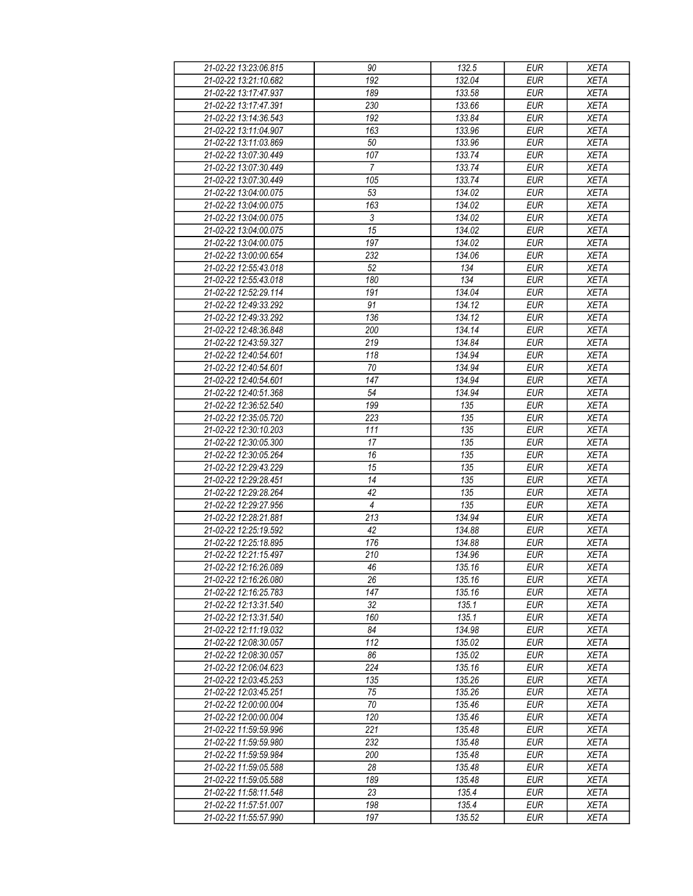| 21-02-22 13:23:06.815 | 90               | 132.5  | <b>EUR</b> | <b>XETA</b> |
|-----------------------|------------------|--------|------------|-------------|
| 21-02-22 13:21:10.682 | 192              | 132.04 | <b>EUR</b> | <b>XETA</b> |
| 21-02-22 13:17:47.937 | 189              | 133.58 | <b>EUR</b> | <b>XETA</b> |
| 21-02-22 13:17:47.391 | 230              | 133.66 | <b>EUR</b> | <b>XETA</b> |
| 21-02-22 13:14:36.543 | 192              | 133.84 | <b>EUR</b> | <b>XETA</b> |
| 21-02-22 13:11:04.907 | 163              | 133.96 | <b>EUR</b> | <b>XETA</b> |
| 21-02-22 13:11:03.869 | 50               | 133.96 | <b>EUR</b> | <b>XETA</b> |
| 21-02-22 13:07:30.449 | 107              | 133.74 | <b>EUR</b> | <b>XETA</b> |
| 21-02-22 13:07:30.449 | $\overline{7}$   | 133.74 | <b>EUR</b> | <b>XETA</b> |
| 21-02-22 13:07:30.449 | 105              | 133.74 | <b>EUR</b> | <b>XETA</b> |
| 21-02-22 13:04:00.075 | 53               | 134.02 | <b>EUR</b> | <b>XETA</b> |
| 21-02-22 13:04:00.075 | 163              | 134.02 | <b>EUR</b> | <b>XETA</b> |
| 21-02-22 13:04:00.075 | 3                | 134.02 | <b>EUR</b> | <b>XETA</b> |
| 21-02-22 13:04:00.075 | 15               | 134.02 | <b>EUR</b> | <b>XETA</b> |
| 21-02-22 13:04:00.075 | 197              | 134.02 | <b>EUR</b> | <b>XETA</b> |
| 21-02-22 13:00:00.654 | 232              | 134.06 | <b>EUR</b> | <b>XETA</b> |
| 21-02-22 12:55:43.018 | 52               | 134    | EUR        | <b>XETA</b> |
|                       |                  |        |            |             |
| 21-02-22 12:55:43.018 | 180              | 134    | <b>EUR</b> | <b>XETA</b> |
| 21-02-22 12:52:29.114 | 191              | 134.04 | <b>EUR</b> | <b>XETA</b> |
| 21-02-22 12:49:33.292 | 91               | 134.12 | <b>EUR</b> | <b>XETA</b> |
| 21-02-22 12:49:33.292 | 136              | 134.12 | <b>EUR</b> | <b>XETA</b> |
| 21-02-22 12:48:36.848 | 200              | 134.14 | <b>EUR</b> | <b>XETA</b> |
| 21-02-22 12:43:59.327 | 219              | 134.84 | <b>EUR</b> | <b>XETA</b> |
| 21-02-22 12:40:54.601 | 118              | 134.94 | <b>EUR</b> | <b>XETA</b> |
| 21-02-22 12:40:54.601 | 70               | 134.94 | <b>EUR</b> | <b>XETA</b> |
| 21-02-22 12:40:54.601 | 147              | 134.94 | EUR        | <b>XETA</b> |
| 21-02-22 12:40:51.368 | 54               | 134.94 | <b>EUR</b> | <b>XETA</b> |
| 21-02-22 12:36:52.540 | 199              | 135    | <b>EUR</b> | <b>XETA</b> |
| 21-02-22 12:35:05.720 | 223              | 135    | <b>EUR</b> | <b>XETA</b> |
| 21-02-22 12:30:10.203 | 111              | 135    | <b>EUR</b> | <b>XETA</b> |
| 21-02-22 12:30:05.300 | 17               | 135    | <b>EUR</b> | <b>XETA</b> |
| 21-02-22 12:30:05.264 | 16               | 135    | <b>EUR</b> | <b>XETA</b> |
| 21-02-22 12:29:43.229 | 15               | 135    | <b>EUR</b> | <b>XETA</b> |
| 21-02-22 12:29:28.451 | 14               | 135    | <b>EUR</b> | <b>XETA</b> |
| 21-02-22 12:29:28.264 | 42               | 135    | <b>EUR</b> | <b>XETA</b> |
| 21-02-22 12:29:27.956 | $\overline{4}$   | 135    | <b>EUR</b> | <b>XETA</b> |
| 21-02-22 12:28:21.881 | 213              | 134.94 | <b>EUR</b> | <b>XETA</b> |
| 21-02-22 12:25:19.592 | 42               | 134.88 | <b>EUR</b> | <b>XETA</b> |
| 21-02-22 12:25:18.895 | 176              | 134.88 | <b>EUR</b> | <b>XETA</b> |
| 21-02-22 12:21:15.497 | $\overline{210}$ | 134.96 | <b>EUR</b> | <b>XETA</b> |
| 21-02-22 12:16:26.089 | 46               | 135.16 | <b>EUR</b> | <b>XETA</b> |
| 21-02-22 12:16:26.080 | 26               | 135.16 | <b>EUR</b> | <b>XETA</b> |
| 21-02-22 12:16:25.783 | 147              | 135.16 | <b>EUR</b> | <b>XETA</b> |
| 21-02-22 12:13:31.540 | 32               | 135.1  | <b>EUR</b> | <b>XETA</b> |
| 21-02-22 12:13:31.540 | 160              | 135.1  | <b>EUR</b> | <b>XETA</b> |
| 21-02-22 12:11:19.032 | 84               | 134.98 | <b>EUR</b> | <b>XETA</b> |
| 21-02-22 12:08:30.057 | 112              | 135.02 | <b>EUR</b> | <b>XETA</b> |
| 21-02-22 12:08:30.057 | 86               | 135.02 | <b>EUR</b> | <b>XETA</b> |
| 21-02-22 12:06:04.623 | 224              | 135.16 | <b>EUR</b> | <b>XETA</b> |
| 21-02-22 12:03:45.253 | 135              | 135.26 | <b>EUR</b> | <b>XETA</b> |
| 21-02-22 12:03:45.251 | 75               | 135.26 | <b>EUR</b> | <b>XETA</b> |
| 21-02-22 12:00:00.004 | 70               | 135.46 | <b>EUR</b> | <b>XETA</b> |
| 21-02-22 12:00:00.004 | 120              | 135.46 | <b>EUR</b> | <b>XETA</b> |
| 21-02-22 11:59:59.996 | 221              | 135.48 | <b>EUR</b> | <b>XETA</b> |
| 21-02-22 11:59:59.980 | 232              | 135.48 | <b>EUR</b> | <b>XETA</b> |
| 21-02-22 11:59:59.984 | 200              | 135.48 | <b>EUR</b> | <b>XETA</b> |
| 21-02-22 11:59:05.588 | 28               | 135.48 | <b>EUR</b> | <b>XETA</b> |
| 21-02-22 11:59:05.588 | 189              | 135.48 | <b>EUR</b> | <b>XETA</b> |
| 21-02-22 11:58:11.548 | 23               | 135.4  | <b>EUR</b> | <b>XETA</b> |
| 21-02-22 11:57:51.007 | 198              | 135.4  | <b>EUR</b> | <b>XETA</b> |
| 21-02-22 11:55:57.990 | 197              | 135.52 | <b>EUR</b> | <b>XETA</b> |
|                       |                  |        |            |             |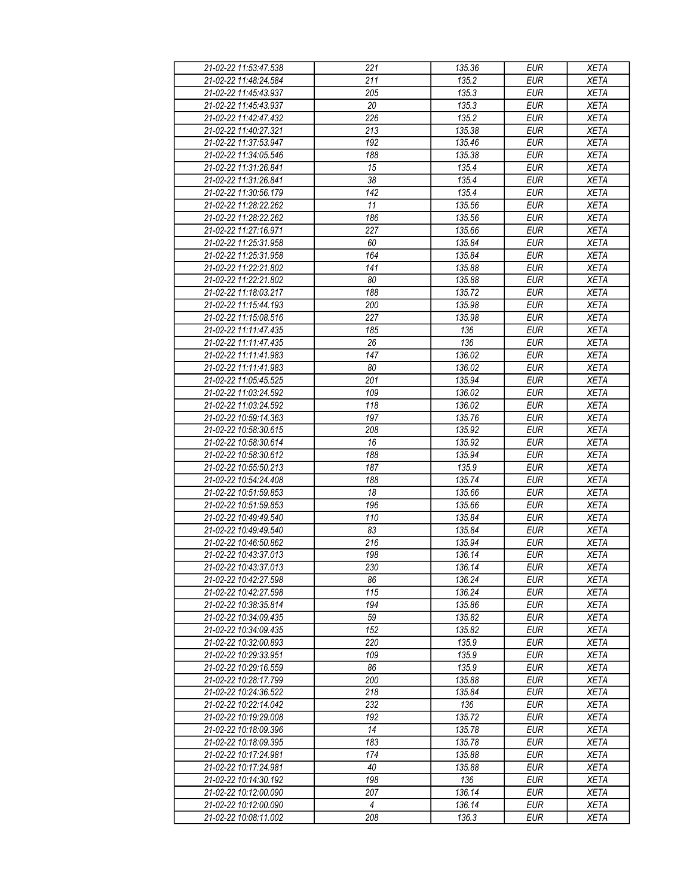| 21-02-22 11:53:47.538 | 221            | 135.36 | <b>EUR</b> | <b>XETA</b> |
|-----------------------|----------------|--------|------------|-------------|
| 21-02-22 11:48:24.584 | 211            | 135.2  | <b>EUR</b> | <b>XETA</b> |
| 21-02-22 11:45:43.937 | 205            | 135.3  | <b>EUR</b> | <b>XETA</b> |
| 21-02-22 11:45:43.937 | 20             | 135.3  | <b>EUR</b> | <b>XETA</b> |
| 21-02-22 11:42:47.432 | 226            | 135.2  | <b>EUR</b> | <b>XETA</b> |
| 21-02-22 11:40:27.321 | 213            | 135.38 | <b>EUR</b> | <b>XETA</b> |
| 21-02-22 11:37:53.947 | 192            | 135.46 | <b>EUR</b> | <b>XETA</b> |
| 21-02-22 11:34:05.546 | 188            | 135.38 | <b>EUR</b> | <b>XETA</b> |
| 21-02-22 11:31:26.841 | 15             | 135.4  | <b>EUR</b> | <b>XETA</b> |
| 21-02-22 11:31:26.841 | 38             | 135.4  | <b>EUR</b> | <b>XETA</b> |
| 21-02-22 11:30:56.179 | 142            | 135.4  | <b>EUR</b> | <b>XETA</b> |
| 21-02-22 11:28:22.262 | 11             | 135.56 | <b>EUR</b> | <b>XETA</b> |
| 21-02-22 11:28:22.262 | 186            | 135.56 | <b>EUR</b> | <b>XETA</b> |
| 21-02-22 11:27:16.971 | 227            | 135.66 | <b>EUR</b> | <b>XETA</b> |
| 21-02-22 11:25:31.958 | 60             | 135.84 | <b>EUR</b> | <b>XETA</b> |
| 21-02-22 11:25:31.958 | 164            | 135.84 | <b>EUR</b> | <b>XETA</b> |
| 21-02-22 11:22:21.802 | 141            | 135.88 | EUR        | <b>XETA</b> |
| 21-02-22 11:22:21.802 | 80             | 135.88 |            |             |
|                       |                |        | <b>EUR</b> | <b>XETA</b> |
| 21-02-22 11:18:03.217 | 188            | 135.72 | <b>EUR</b> | <b>XETA</b> |
| 21-02-22 11:15:44.193 | 200            | 135.98 | <b>EUR</b> | <b>XETA</b> |
| 21-02-22 11:15:08.516 | 227            | 135.98 | <b>EUR</b> | <b>XETA</b> |
| 21-02-22 11:11:47.435 | 185            | 136    | <b>EUR</b> | <b>XETA</b> |
| 21-02-22 11:11:47.435 | 26             | 136    | <b>EUR</b> | <b>XETA</b> |
| 21-02-22 11:11:41.983 | 147            | 136.02 | <b>EUR</b> | <b>XETA</b> |
| 21-02-22 11:11:41.983 | 80             | 136.02 | <b>EUR</b> | <b>XETA</b> |
| 21-02-22 11:05:45.525 | 201            | 135.94 | <b>EUR</b> | <b>XETA</b> |
| 21-02-22 11:03:24.592 | 109            | 136.02 | <b>EUR</b> | <b>XETA</b> |
| 21-02-22 11:03:24.592 | 118            | 136.02 | <b>EUR</b> | <b>XETA</b> |
| 21-02-22 10:59:14.363 | 197            | 135.76 | <b>EUR</b> | <b>XETA</b> |
| 21-02-22 10:58:30.615 | 208            | 135.92 | <b>EUR</b> | <b>XETA</b> |
| 21-02-22 10:58:30.614 | 16             | 135.92 | <b>EUR</b> | <b>XETA</b> |
| 21-02-22 10:58:30.612 | 188            | 135.94 | <b>EUR</b> | <b>XETA</b> |
| 21-02-22 10:55:50.213 | 187            | 135.9  | <b>EUR</b> | <b>XETA</b> |
| 21-02-22 10:54:24.408 | 188            | 135.74 | <b>EUR</b> | <b>XETA</b> |
| 21-02-22 10:51:59.853 | 18             | 135.66 | <b>EUR</b> | <b>XETA</b> |
| 21-02-22 10:51:59.853 | 196            | 135.66 | <b>EUR</b> | <b>XETA</b> |
| 21-02-22 10:49:49.540 | 110            | 135.84 | <b>EUR</b> | <b>XETA</b> |
| 21-02-22 10:49:49.540 | 83             | 135.84 | <b>EUR</b> | <b>XETA</b> |
| 21-02-22 10:46:50.862 | 216            | 135.94 | <b>EUR</b> | <b>XETA</b> |
| 21-02-22 10:43:37.013 | 198            | 136.14 | <b>EUR</b> | <b>XETA</b> |
| 21-02-22 10:43:37.013 | 230            | 136.14 | <b>EUR</b> | <b>XETA</b> |
| 21-02-22 10:42:27.598 | 86             | 136.24 | <b>EUR</b> | <b>XETA</b> |
| 21-02-22 10:42:27.598 | 115            | 136.24 | <b>EUR</b> | <b>XETA</b> |
| 21-02-22 10:38:35.814 | 194            | 135.86 | <b>EUR</b> | <b>XETA</b> |
| 21-02-22 10:34:09.435 | 59             | 135.82 | <b>EUR</b> | <b>XETA</b> |
| 21-02-22 10:34:09.435 | 152            | 135.82 | <b>EUR</b> | <b>XETA</b> |
| 21-02-22 10:32:00.893 | 220            | 135.9  | <b>EUR</b> | <b>XETA</b> |
| 21-02-22 10:29:33.951 | 109            | 135.9  | <b>EUR</b> | <b>XETA</b> |
| 21-02-22 10:29:16.559 | 86             | 135.9  | <b>EUR</b> | <b>XETA</b> |
| 21-02-22 10:28:17.799 | 200            | 135.88 | <b>EUR</b> | <b>XETA</b> |
| 21-02-22 10:24:36.522 | 218            | 135.84 | <b>EUR</b> | <b>XETA</b> |
| 21-02-22 10:22:14.042 | 232            | 136    | <b>EUR</b> | <b>XETA</b> |
| 21-02-22 10:19:29.008 | 192            | 135.72 | <b>EUR</b> | <b>XETA</b> |
| 21-02-22 10:18:09.396 | 14             | 135.78 | <b>EUR</b> | <b>XETA</b> |
| 21-02-22 10:18:09.395 | 183            | 135.78 | <b>EUR</b> | <b>XETA</b> |
| 21-02-22 10:17:24.981 | 174            | 135.88 | <b>EUR</b> | <b>XETA</b> |
| 21-02-22 10:17:24.981 | 40             | 135.88 | <b>EUR</b> | <b>XETA</b> |
| 21-02-22 10:14:30.192 | 198            | 136    | <b>EUR</b> | <b>XETA</b> |
| 21-02-22 10:12:00.090 | 207            | 136.14 | <b>EUR</b> | <b>XETA</b> |
| 21-02-22 10:12:00.090 | $\overline{4}$ | 136.14 | <b>EUR</b> | <b>XETA</b> |
| 21-02-22 10:08:11.002 | 208            | 136.3  | <b>EUR</b> | <b>XETA</b> |
|                       |                |        |            |             |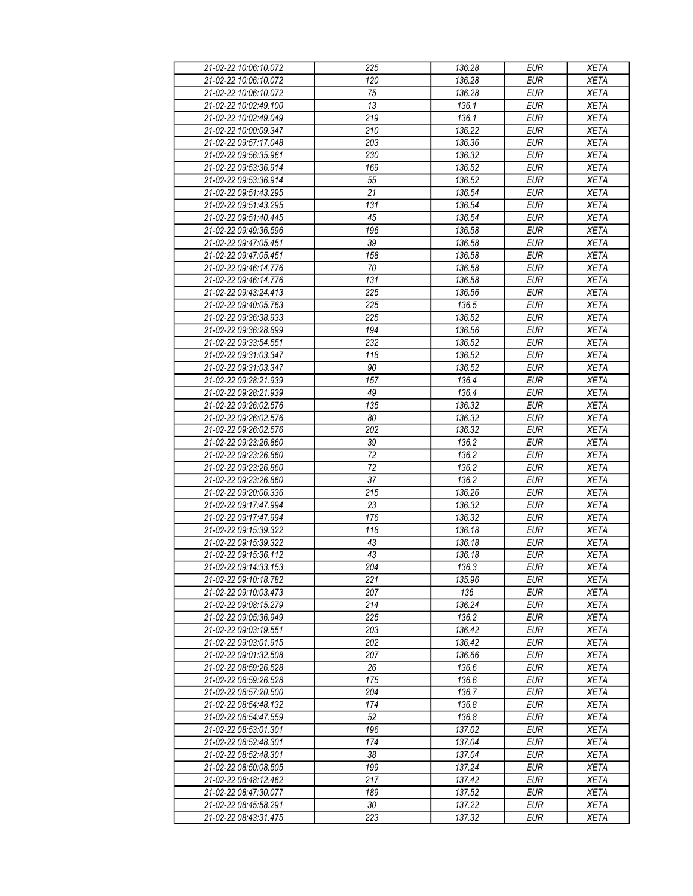| 21-02-22 10:06:10.072 | 225 | 136.28 | <b>EUR</b>       | <b>XETA</b> |
|-----------------------|-----|--------|------------------|-------------|
| 21-02-22 10:06:10.072 | 120 | 136.28 | <b>EUR</b>       | <b>XETA</b> |
| 21-02-22 10:06:10.072 | 75  | 136.28 | <b>EUR</b>       | <b>XETA</b> |
| 21-02-22 10:02:49.100 | 13  | 136.1  | <b>EUR</b>       | <b>XETA</b> |
| 21-02-22 10:02:49.049 | 219 | 136.1  | <b>EUR</b>       | <b>XETA</b> |
| 21-02-22 10:00:09.347 | 210 | 136.22 | <b>EUR</b>       | <b>XETA</b> |
| 21-02-22 09:57:17.048 | 203 | 136.36 | <b>EUR</b>       | <b>XETA</b> |
| 21-02-22 09:56:35.961 | 230 | 136.32 | <b>EUR</b>       | <b>XETA</b> |
| 21-02-22 09:53:36.914 | 169 | 136.52 | <b>EUR</b>       | <b>XETA</b> |
| 21-02-22 09:53:36.914 | 55  | 136.52 | <b>EUR</b>       | <b>XETA</b> |
| 21-02-22 09:51:43.295 | 21  | 136.54 | <b>EUR</b>       | <b>XETA</b> |
| 21-02-22 09:51:43.295 | 131 | 136.54 | <b>EUR</b>       | <b>XETA</b> |
| 21-02-22 09:51:40.445 | 45  | 136.54 | <b>EUR</b>       | <b>XETA</b> |
| 21-02-22 09:49:36.596 | 196 | 136.58 | <b>EUR</b>       | <b>XETA</b> |
| 21-02-22 09:47:05.451 | 39  | 136.58 | <b>EUR</b>       | <b>XETA</b> |
| 21-02-22 09:47:05.451 | 158 | 136.58 | <b>EUR</b>       | <b>XETA</b> |
| 21-02-22 09:46:14.776 | 70  | 136.58 | EUR              | <b>XETA</b> |
|                       |     |        |                  |             |
| 21-02-22 09:46:14.776 | 131 | 136.58 | <b>EUR</b>       | <b>XETA</b> |
| 21-02-22 09:43:24.413 | 225 | 136.56 | <b>EUR</b>       | <b>XETA</b> |
| 21-02-22 09:40:05.763 | 225 | 136.5  | <b>EUR</b>       | <b>XETA</b> |
| 21-02-22 09:36:38.933 | 225 | 136.52 | <b>EUR</b>       | <b>XETA</b> |
| 21-02-22 09:36:28.899 | 194 | 136.56 | <b>EUR</b>       | <b>XETA</b> |
| 21-02-22 09:33:54.551 | 232 | 136.52 | <b>EUR</b>       | <b>XETA</b> |
| 21-02-22 09:31:03.347 | 118 | 136.52 | <b>EUR</b>       | <b>XETA</b> |
| 21-02-22 09:31:03.347 | 90  | 136.52 | <b>EUR</b>       | <b>XETA</b> |
| 21-02-22 09:28:21.939 | 157 | 136.4  | <b>EUR</b>       | <b>XETA</b> |
| 21-02-22 09:28:21.939 | 49  | 136.4  | <b>EUR</b>       | <b>XETA</b> |
| 21-02-22 09:26:02.576 | 135 | 136.32 | <b>EUR</b>       | <b>XETA</b> |
| 21-02-22 09:26:02.576 | 80  | 136.32 | $E\overline{UR}$ | <b>XETA</b> |
| 21-02-22 09:26:02.576 | 202 | 136.32 | <b>EUR</b>       | <b>XETA</b> |
| 21-02-22 09:23:26.860 | 39  | 136.2  | <b>EUR</b>       | <b>XETA</b> |
| 21-02-22 09:23:26.860 | 72  | 136.2  | <b>EUR</b>       | <b>XETA</b> |
| 21-02-22 09:23:26.860 | 72  | 136.2  | <b>EUR</b>       | <b>XETA</b> |
| 21-02-22 09:23:26.860 | 37  | 136.2  | <b>EUR</b>       | <b>XETA</b> |
| 21-02-22 09:20:06.336 | 215 | 136.26 | <b>EUR</b>       | <b>XETA</b> |
| 21-02-22 09:17:47.994 | 23  | 136.32 | <b>EUR</b>       | <b>XETA</b> |
| 21-02-22 09:17:47.994 | 176 | 136.32 | <b>EUR</b>       | <b>XETA</b> |
| 21-02-22 09:15:39.322 | 118 | 136.18 | <b>EUR</b>       | <b>XETA</b> |
| 21-02-22 09:15:39.322 | 43  | 136.18 | <b>EUR</b>       | <b>XETA</b> |
| 21-02-22 09:15:36.112 | 43  | 136.18 | <b>EUR</b>       | <b>XETA</b> |
| 21-02-22 09:14:33.153 | 204 | 136.3  | <b>EUR</b>       | <b>XETA</b> |
| 21-02-22 09:10:18.782 | 221 | 135.96 | <b>EUR</b>       | <b>XETA</b> |
| 21-02-22 09:10:03.473 | 207 | 136    | <b>EUR</b>       | <b>XETA</b> |
| 21-02-22 09:08:15.279 | 214 | 136.24 | <b>EUR</b>       | <b>XETA</b> |
| 21-02-22 09:05:36.949 | 225 | 136.2  | <b>EUR</b>       | <b>XETA</b> |
| 21-02-22 09:03:19.551 | 203 | 136.42 | <b>EUR</b>       | <b>XETA</b> |
| 21-02-22 09:03:01.915 | 202 | 136.42 | <b>EUR</b>       | <b>XETA</b> |
| 21-02-22 09:01:32.508 | 207 | 136.66 | <b>EUR</b>       | <b>XETA</b> |
| 21-02-22 08:59:26.528 | 26  | 136.6  | <b>EUR</b>       | <b>XETA</b> |
| 21-02-22 08:59:26.528 | 175 | 136.6  | <b>EUR</b>       | <b>XETA</b> |
| 21-02-22 08:57:20.500 | 204 | 136.7  | <b>EUR</b>       | <b>XETA</b> |
| 21-02-22 08:54:48.132 | 174 | 136.8  | <b>EUR</b>       | <b>XETA</b> |
| 21-02-22 08:54:47.559 | 52  | 136.8  | <b>EUR</b>       | <b>XETA</b> |
| 21-02-22 08:53:01.301 | 196 | 137.02 | <b>EUR</b>       | <b>XETA</b> |
| 21-02-22 08:52:48.301 | 174 | 137.04 | <b>EUR</b>       | <b>XETA</b> |
| 21-02-22 08:52:48.301 | 38  | 137.04 | <b>EUR</b>       | <b>XETA</b> |
| 21-02-22 08:50:08.505 | 199 | 137.24 | <b>EUR</b>       | <b>XETA</b> |
| 21-02-22 08:48:12.462 | 217 | 137.42 | <b>EUR</b>       | <b>XETA</b> |
| 21-02-22 08:47:30.077 | 189 | 137.52 | <b>EUR</b>       | <b>XETA</b> |
| 21-02-22 08:45:58.291 | 30  | 137.22 | <b>EUR</b>       | <b>XETA</b> |
| 21-02-22 08:43:31.475 | 223 | 137.32 | <b>EUR</b>       | <b>XETA</b> |
|                       |     |        |                  |             |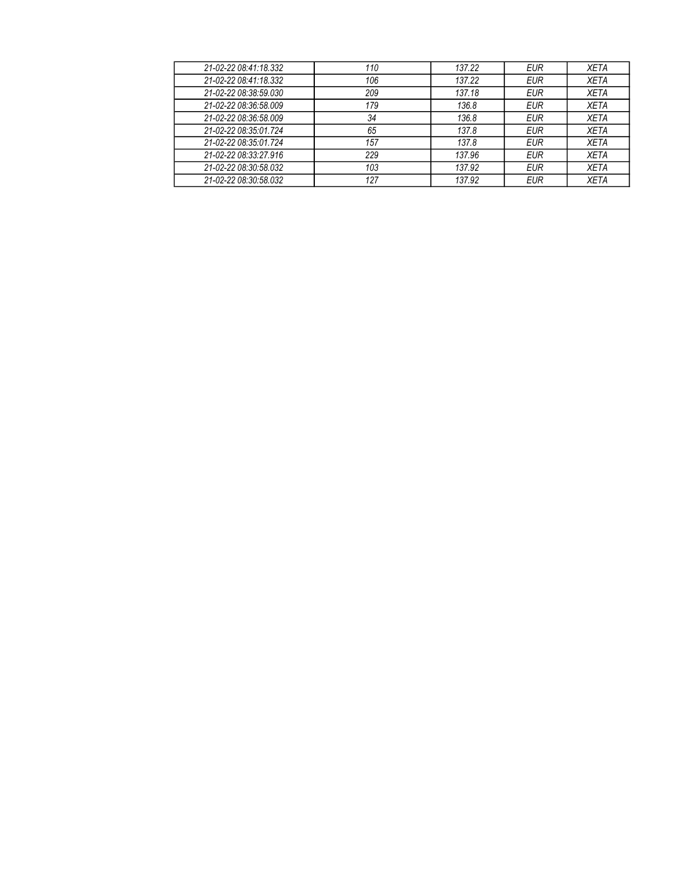| 21-02-22 08:41:18.332 | 110 | 137.22 | <b>EUR</b> | <b>XETA</b> |
|-----------------------|-----|--------|------------|-------------|
| 21-02-22 08:41:18.332 | 106 | 137.22 | <b>EUR</b> | <b>XETA</b> |
| 21-02-22 08:38:59.030 | 209 | 137.18 | <b>EUR</b> | <b>XETA</b> |
| 21-02-22 08:36:58.009 | 179 | 136.8  | <b>EUR</b> | <b>XETA</b> |
| 21-02-22 08:36:58.009 | 34  | 136.8  | <b>EUR</b> | <b>XETA</b> |
| 21-02-22 08:35:01.724 | 65  | 137.8  | <b>EUR</b> | <b>XETA</b> |
| 21-02-22 08:35:01.724 | 157 | 137.8  | <b>EUR</b> | <b>XETA</b> |
| 21-02-22 08:33:27.916 | 229 | 137.96 | EUR        | <b>XETA</b> |
| 21-02-22 08:30:58.032 | 103 | 137.92 | <b>EUR</b> | <b>XETA</b> |
| 21-02-22 08:30:58.032 | 127 | 137.92 | <b>EUR</b> | <b>XETA</b> |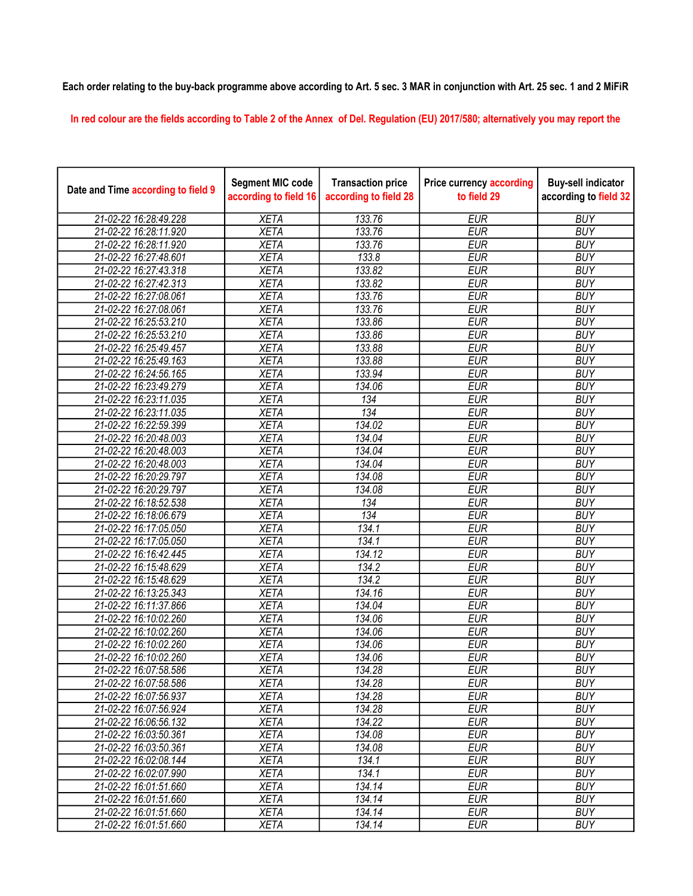## Each order relating to the buy-back programme above according to Art. 5 sec. 3 MAR in conjunction with Art. 25 sec. 1 and 2 MiFiR

In red colour are the fields according to Table 2 of the Annex of Del. Regulation (EU) 2017/580; alternatively you may report the

| Date and Time according to field 9 | <b>Segment MIC code</b><br>according to field 16 | <b>Transaction price</b><br>according to field 28 | <b>Price currency according</b><br>to field 29 | <b>Buy-sell indicator</b><br>according to field 32 |
|------------------------------------|--------------------------------------------------|---------------------------------------------------|------------------------------------------------|----------------------------------------------------|
| 21-02-22 16:28:49.228              | <b>XETA</b>                                      | 133.76                                            | <b>EUR</b>                                     | <b>BUY</b>                                         |
| 21-02-22 16:28:11.920              | <b>XETA</b>                                      | 133.76                                            | <b>EUR</b>                                     | <b>BUY</b>                                         |
| 21-02-22 16:28:11.920              | <b>XETA</b>                                      | 133.76                                            | <b>EUR</b>                                     | <b>BUY</b>                                         |
| 21-02-22 16:27:48.601              | <b>XETA</b>                                      | 133.8                                             | <b>EUR</b>                                     | <b>BUY</b>                                         |
| 21-02-22 16:27:43.318              | <b>XETA</b>                                      | 133.82                                            | <b>EUR</b>                                     | <b>BUY</b>                                         |
| 21-02-22 16:27:42.313              | <b>XETA</b>                                      | 133.82                                            | <b>EUR</b>                                     | <b>BUY</b>                                         |
| 21-02-22 16:27:08.061              | <b>XETA</b>                                      | 133.76                                            | <b>EUR</b>                                     | <b>BUY</b>                                         |
| 21-02-22 16:27:08.061              | <b>XETA</b>                                      | 133.76                                            | <b>EUR</b>                                     | <b>BUY</b>                                         |
| 21-02-22 16:25:53.210              | <b>XETA</b>                                      | 133.86                                            | <b>EUR</b>                                     | <b>BUY</b>                                         |
| 21-02-22 16:25:53.210              | <b>XETA</b>                                      | 133.86                                            | <b>EUR</b>                                     | <b>BUY</b>                                         |
| 21-02-22 16:25:49.457              | <b>XETA</b>                                      | 133.88                                            | <b>EUR</b>                                     | <b>BUY</b>                                         |
| 21-02-22 16:25:49.163              | <b>XETA</b>                                      | 133.88                                            | <b>EUR</b>                                     | <b>BUY</b>                                         |
| 21-02-22 16:24:56.165              | <b>XETA</b>                                      | 133.94                                            | <b>EUR</b>                                     | <b>BUY</b>                                         |
| 21-02-22 16:23:49.279              | <b>XETA</b>                                      | 134.06                                            | <b>EUR</b>                                     | <b>BUY</b>                                         |
| 21-02-22 16:23:11.035              | <b>XETA</b>                                      | 134                                               | <b>EUR</b>                                     | <b>BUY</b>                                         |
| 21-02-22 16:23:11.035              | <b>XETA</b>                                      | 134                                               | <b>EUR</b>                                     | <b>BUY</b>                                         |
| 21-02-22 16:22:59.399              | <b>XETA</b>                                      | 134.02                                            | <b>EUR</b>                                     | <b>BUY</b>                                         |
| 21-02-22 16:20:48.003              | <b>XETA</b>                                      | 134.04                                            | <b>EUR</b>                                     | <b>BUY</b>                                         |
| 21-02-22 16:20:48.003              | <b>XETA</b>                                      | 134.04                                            | <b>EUR</b>                                     | <b>BUY</b>                                         |
| 21-02-22 16:20:48.003              | <b>XETA</b>                                      | 134.04                                            | <b>EUR</b>                                     | <b>BUY</b>                                         |
| 21-02-22 16:20:29.797              | <b>XETA</b>                                      | 134.08                                            | <b>EUR</b>                                     | <b>BUY</b>                                         |
| 21-02-22 16:20:29.797              | <b>XETA</b>                                      | 134.08                                            | <b>EUR</b>                                     | <b>BUY</b>                                         |
| 21-02-22 16:18:52.538              | <b>XETA</b>                                      | 134                                               | <b>EUR</b>                                     | <b>BUY</b>                                         |
| 21-02-22 16:18:06.679              | <b>XETA</b>                                      | 134                                               | <b>EUR</b>                                     | <b>BUY</b>                                         |
| 21-02-22 16:17:05.050              | <b>XETA</b>                                      | 134.1                                             | <b>EUR</b>                                     | <b>BUY</b>                                         |
| 21-02-22 16:17:05.050              | <b>XETA</b>                                      | 134.1                                             | <b>EUR</b>                                     | <b>BUY</b>                                         |
| 21-02-22 16:16:42.445              | <b>XETA</b>                                      | 134.12                                            | <b>EUR</b>                                     | <b>BUY</b>                                         |
| 21-02-22 16:15:48.629              | <b>XETA</b>                                      | 134.2                                             | <b>EUR</b>                                     | <b>BUY</b>                                         |
| 21-02-22 16:15:48.629              | <b>XETA</b>                                      | 134.2                                             | <b>EUR</b>                                     | <b>BUY</b>                                         |
| 21-02-22 16:13:25.343              | <b>XETA</b>                                      | 134.16                                            | <b>EUR</b>                                     | <b>BUY</b>                                         |
| 21-02-22 16:11:37.866              | <b>XETA</b>                                      | 134.04                                            | <b>EUR</b>                                     | <b>BUY</b>                                         |
| 21-02-22 16:10:02.260              | <b>XETA</b>                                      | 134.06                                            | <b>EUR</b>                                     | <b>BUY</b>                                         |
| 21-02-22 16:10:02.260              | <b>XETA</b>                                      | 134.06                                            | <b>EUR</b>                                     | <b>BUY</b>                                         |
| 21-02-22 16:10:02.260              | <b>XETA</b>                                      | 134.06                                            | <b>EUR</b>                                     | <b>BUY</b>                                         |
| 21-02-22 16:10:02.260              | <b>XETA</b>                                      | 134.06                                            | <b>EUR</b>                                     | <b>BUY</b>                                         |
| 21-02-22 16:07:58.586              | <b>XETA</b>                                      | 134.28                                            | <b>EUR</b>                                     | <b>BUY</b>                                         |
| 21-02-22 16:07:58.586              | XETA                                             | 134.28                                            | EUR                                            | <b>BUY</b>                                         |
| 21-02-22 16:07:56.937              | <b>XETA</b>                                      | 134.28                                            | <b>EUR</b>                                     | <b>BUY</b>                                         |
| 21-02-22 16:07:56.924              | <b>XETA</b>                                      | 134.28                                            | <b>EUR</b>                                     | <b>BUY</b>                                         |
| 21-02-22 16:06:56.132              | <b>XETA</b>                                      | 134.22                                            | <b>EUR</b>                                     | <b>BUY</b>                                         |
| 21-02-22 16:03:50.361              | <b>XETA</b>                                      | 134.08                                            | <b>EUR</b>                                     | <b>BUY</b>                                         |
| 21-02-22 16:03:50.361              | <b>XETA</b>                                      | 134.08                                            | <b>EUR</b>                                     | <b>BUY</b>                                         |
| 21-02-22 16:02:08.144              | <b>XETA</b>                                      | 134.1                                             | <b>EUR</b>                                     | <b>BUY</b>                                         |
| 21-02-22 16:02:07.990              | <b>XETA</b>                                      | 134.1                                             | <b>EUR</b>                                     | <b>BUY</b>                                         |
| 21-02-22 16:01:51.660              | <b>XETA</b>                                      | 134.14                                            | <b>EUR</b>                                     | <b>BUY</b>                                         |
| 21-02-22 16:01:51.660              | <b>XETA</b>                                      | 134.14                                            | <b>EUR</b>                                     | <b>BUY</b>                                         |
| 21-02-22 16:01:51.660              | <b>XETA</b>                                      | 134.14                                            | EUR                                            | <b>BUY</b>                                         |
| 21-02-22 16:01:51.660              | <b>XETA</b>                                      | 134.14                                            | <b>EUR</b>                                     | <b>BUY</b>                                         |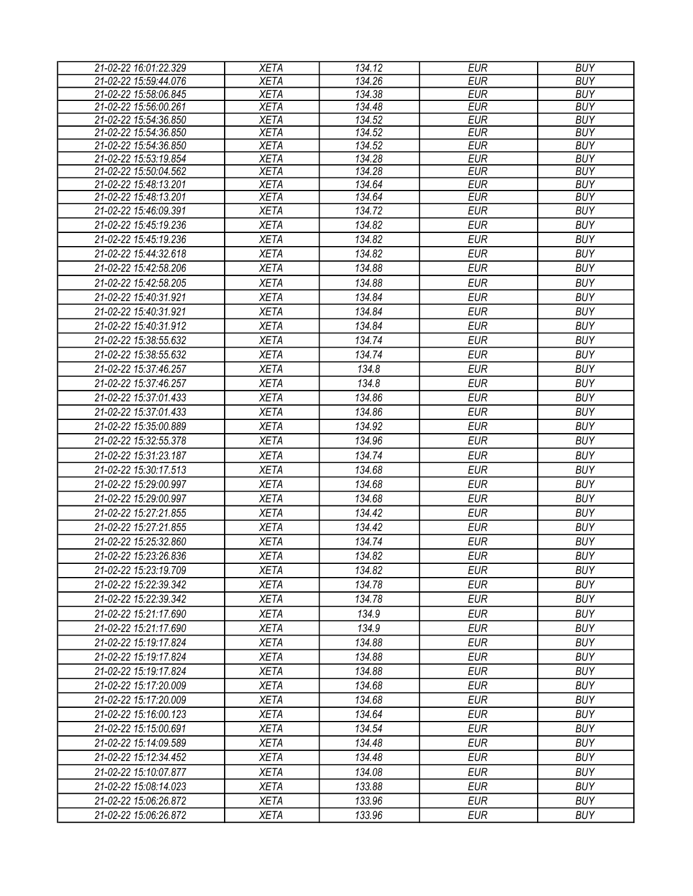| 21-02-22 16:01:22.329 | <b>XETA</b> | 134.12 | <b>EUR</b> | <b>BUY</b> |
|-----------------------|-------------|--------|------------|------------|
| 21-02-22 15:59:44.076 | <b>XETA</b> | 134.26 | <b>EUR</b> | <b>BUY</b> |
| 21-02-22 15:58:06.845 | <b>XETA</b> | 134.38 | <b>EUR</b> | <b>BUY</b> |
| 21-02-22 15:56:00.261 | <b>XETA</b> | 134.48 | <b>EUR</b> | <b>BUY</b> |
| 21-02-22 15:54:36.850 | <b>XETA</b> | 134.52 | <b>EUR</b> | <b>BUY</b> |
| 21-02-22 15:54:36.850 | <b>XETA</b> | 134.52 | <b>EUR</b> | <b>BUY</b> |
| 21-02-22 15:54:36.850 | <b>XETA</b> | 134.52 | <b>EUR</b> | <b>BUY</b> |
| 21-02-22 15:53:19.854 | <b>XETA</b> | 134.28 | <b>EUR</b> | <b>BUY</b> |
| 21-02-22 15:50:04.562 | <b>XETA</b> | 134.28 | <b>EUR</b> | <b>BUY</b> |
| 21-02-22 15:48:13.201 | <b>XETA</b> | 134.64 | <b>EUR</b> | <b>BUY</b> |
| 21-02-22 15:48:13.201 | <b>XETA</b> | 134.64 | <b>EUR</b> | <b>BUY</b> |
| 21-02-22 15:46:09.391 | <b>XETA</b> | 134.72 | <b>EUR</b> | <b>BUY</b> |
| 21-02-22 15:45:19.236 | <b>XETA</b> | 134.82 | <b>EUR</b> | <b>BUY</b> |
| 21-02-22 15:45:19.236 | <b>XETA</b> | 134.82 | <b>EUR</b> | <b>BUY</b> |
| 21-02-22 15:44:32.618 | <b>XETA</b> | 134.82 | <b>EUR</b> | <b>BUY</b> |
| 21-02-22 15:42:58.206 | <b>XETA</b> | 134.88 | <b>EUR</b> | <b>BUY</b> |
| 21-02-22 15:42:58.205 | <b>XETA</b> | 134.88 | <b>EUR</b> | <b>BUY</b> |
| 21-02-22 15:40:31.921 | <b>XETA</b> | 134.84 | <b>EUR</b> | <b>BUY</b> |
| 21-02-22 15:40:31.921 | <b>XETA</b> | 134.84 | <b>EUR</b> | <b>BUY</b> |
| 21-02-22 15:40:31.912 | <b>XETA</b> | 134.84 | <b>EUR</b> | <b>BUY</b> |
| 21-02-22 15:38:55.632 | <b>XETA</b> | 134.74 | <b>EUR</b> | <b>BUY</b> |
| 21-02-22 15:38:55.632 | <b>XETA</b> | 134.74 | <b>EUR</b> | <b>BUY</b> |
| 21-02-22 15:37:46.257 | <b>XETA</b> | 134.8  | <b>EUR</b> | <b>BUY</b> |
| 21-02-22 15:37:46.257 | <b>XETA</b> | 134.8  | <b>EUR</b> | <b>BUY</b> |
|                       |             | 134.86 | <b>EUR</b> | <b>BUY</b> |
| 21-02-22 15:37:01.433 | <b>XETA</b> |        |            |            |
| 21-02-22 15:37:01.433 | <b>XETA</b> | 134.86 | <b>EUR</b> | <b>BUY</b> |
| 21-02-22 15:35:00.889 | <b>XETA</b> | 134.92 | <b>EUR</b> | <b>BUY</b> |
| 21-02-22 15:32:55.378 | <b>XETA</b> | 134.96 | <b>EUR</b> | <b>BUY</b> |
| 21-02-22 15:31:23.187 | <b>XETA</b> | 134.74 | <b>EUR</b> | <b>BUY</b> |
| 21-02-22 15:30:17.513 | <b>XETA</b> | 134.68 | <b>EUR</b> | <b>BUY</b> |
| 21-02-22 15:29:00.997 | <b>XETA</b> | 134.68 | <b>EUR</b> | <b>BUY</b> |
| 21-02-22 15:29:00.997 | <b>XETA</b> | 134.68 | <b>EUR</b> | <b>BUY</b> |
| 21-02-22 15:27:21.855 | <b>XETA</b> | 134.42 | <b>EUR</b> | <b>BUY</b> |
| 21-02-22 15:27:21.855 | <b>XETA</b> | 134.42 | <b>EUR</b> | <b>BUY</b> |
| 21-02-22 15:25:32.860 | <b>XETA</b> | 134.74 | <b>EUR</b> | <b>BUY</b> |
| 21-02-22 15:23:26.836 | <b>XETA</b> | 134.82 | <b>EUR</b> | <b>BUY</b> |
| 21-02-22 15:23:19.709 | <b>XETA</b> | 134.82 | EUR        | <b>BUY</b> |
| 21-02-22 15:22:39.342 | <b>XETA</b> | 134.78 | <b>EUR</b> | <b>BUY</b> |
| 21-02-22 15:22:39.342 | <b>XETA</b> | 134.78 | <b>EUR</b> | <b>BUY</b> |
| 21-02-22 15:21:17.690 | <b>XETA</b> | 134.9  | <b>EUR</b> | <b>BUY</b> |
|                       |             | 134.9  | <b>EUR</b> | <b>BUY</b> |
| 21-02-22 15:21:17.690 | <b>XETA</b> |        |            |            |
| 21-02-22 15:19:17.824 | <b>XETA</b> | 134.88 | <b>EUR</b> | <b>BUY</b> |
| 21-02-22 15:19:17.824 | <b>XETA</b> | 134.88 | <b>EUR</b> | <b>BUY</b> |
| 21-02-22 15:19:17.824 | <b>XETA</b> | 134.88 | <b>EUR</b> | <b>BUY</b> |
| 21-02-22 15:17:20.009 | <b>XETA</b> | 134.68 | <b>EUR</b> | <b>BUY</b> |
| 21-02-22 15:17:20.009 | <b>XETA</b> | 134.68 | <b>EUR</b> | <b>BUY</b> |
| 21-02-22 15:16:00.123 | <b>XETA</b> | 134.64 | EUR        | <b>BUY</b> |
| 21-02-22 15:15:00.691 | <b>XETA</b> | 134.54 | <b>EUR</b> | <b>BUY</b> |
| 21-02-22 15:14:09.589 | <b>XETA</b> | 134.48 | <b>EUR</b> | <b>BUY</b> |
| 21-02-22 15:12:34.452 | <b>XETA</b> | 134.48 | <b>EUR</b> | <b>BUY</b> |
| 21-02-22 15:10:07.877 | <b>XETA</b> | 134.08 | <b>EUR</b> | <b>BUY</b> |
| 21-02-22 15:08:14.023 | <b>XETA</b> | 133.88 | <b>EUR</b> | <b>BUY</b> |
| 21-02-22 15:06:26.872 | <b>XETA</b> | 133.96 | <b>EUR</b> | <b>BUY</b> |
| 21-02-22 15:06:26.872 | XETA        | 133.96 | <b>EUR</b> | <b>BUY</b> |
|                       |             |        |            |            |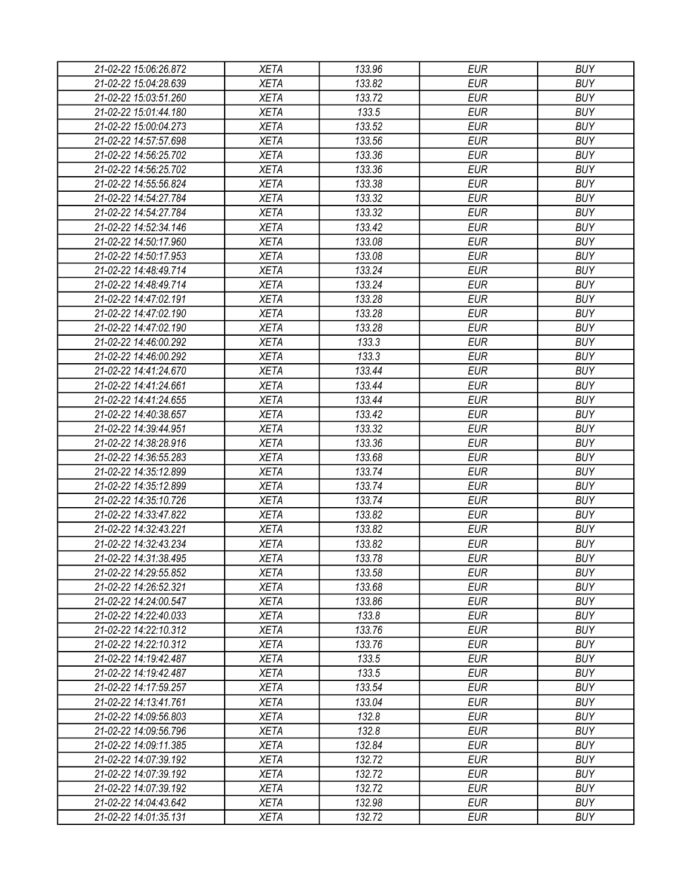| 21-02-22 15:06:26.872 | <b>XETA</b> | 133.96 | <b>EUR</b> | <b>BUY</b> |
|-----------------------|-------------|--------|------------|------------|
| 21-02-22 15:04:28.639 | <b>XETA</b> | 133.82 | <b>EUR</b> | <b>BUY</b> |
| 21-02-22 15:03:51.260 | <b>XETA</b> | 133.72 | <b>EUR</b> | <b>BUY</b> |
| 21-02-22 15:01:44.180 | <b>XETA</b> | 133.5  | <b>EUR</b> | <b>BUY</b> |
| 21-02-22 15:00:04.273 | <b>XETA</b> | 133.52 | <b>EUR</b> | <b>BUY</b> |
| 21-02-22 14:57:57.698 | <b>XETA</b> | 133.56 | <b>EUR</b> | <b>BUY</b> |
| 21-02-22 14:56:25.702 | <b>XETA</b> | 133.36 | <b>EUR</b> | <b>BUY</b> |
| 21-02-22 14:56:25.702 | <b>XETA</b> | 133.36 | <b>EUR</b> | <b>BUY</b> |
| 21-02-22 14:55:56.824 | <b>XETA</b> | 133.38 | <b>EUR</b> | <b>BUY</b> |
| 21-02-22 14:54:27.784 | <b>XETA</b> | 133.32 | <b>EUR</b> | <b>BUY</b> |
| 21-02-22 14:54:27.784 | <b>XETA</b> | 133.32 | <b>EUR</b> | <b>BUY</b> |
| 21-02-22 14:52:34.146 | <b>XETA</b> | 133.42 | <b>EUR</b> | <b>BUY</b> |
| 21-02-22 14:50:17.960 | <b>XETA</b> | 133.08 | <b>EUR</b> | <b>BUY</b> |
| 21-02-22 14:50:17.953 | <b>XETA</b> | 133.08 | <b>EUR</b> | <b>BUY</b> |
| 21-02-22 14:48:49.714 | <b>XETA</b> | 133.24 | <b>EUR</b> | <b>BUY</b> |
| 21-02-22 14:48:49.714 | <b>XETA</b> | 133.24 | <b>EUR</b> | <b>BUY</b> |
| 21-02-22 14:47:02.191 | <b>XETA</b> | 133.28 | <b>EUR</b> | <b>BUY</b> |
| 21-02-22 14:47:02.190 | <b>XETA</b> | 133.28 | <b>EUR</b> | <b>BUY</b> |
| 21-02-22 14:47:02.190 | <b>XETA</b> | 133.28 | <b>EUR</b> | <b>BUY</b> |
| 21-02-22 14:46:00.292 | <b>XETA</b> | 133.3  | <b>EUR</b> | <b>BUY</b> |
| 21-02-22 14:46:00.292 | <b>XETA</b> | 133.3  | <b>EUR</b> | <b>BUY</b> |
| 21-02-22 14:41:24.670 | <b>XETA</b> | 133.44 | <b>EUR</b> | <b>BUY</b> |
| 21-02-22 14:41:24.661 | <b>XETA</b> | 133.44 | <b>EUR</b> | <b>BUY</b> |
| 21-02-22 14:41:24.655 | <b>XETA</b> | 133.44 | <b>EUR</b> | <b>BUY</b> |
| 21-02-22 14:40:38.657 | <b>XETA</b> | 133.42 | <b>EUR</b> | <b>BUY</b> |
| 21-02-22 14:39:44.951 | <b>XETA</b> | 133.32 | <b>EUR</b> | <b>BUY</b> |
| 21-02-22 14:38:28.916 | <b>XETA</b> | 133.36 | <b>EUR</b> | <b>BUY</b> |
| 21-02-22 14:36:55.283 | <b>XETA</b> | 133.68 | <b>EUR</b> | <b>BUY</b> |
| 21-02-22 14:35:12.899 | <b>XETA</b> | 133.74 | <b>EUR</b> | <b>BUY</b> |
| 21-02-22 14:35:12.899 | <b>XETA</b> | 133.74 | <b>EUR</b> | <b>BUY</b> |
| 21-02-22 14:35:10.726 | <b>XETA</b> | 133.74 | <b>EUR</b> | <b>BUY</b> |
| 21-02-22 14:33:47.822 | <b>XETA</b> | 133.82 | <b>EUR</b> | <b>BUY</b> |
| 21-02-22 14:32:43.221 | <b>XETA</b> | 133.82 | <b>EUR</b> | <b>BUY</b> |
| 21-02-22 14:32:43.234 | <b>XETA</b> | 133.82 | <b>EUR</b> | <b>BUY</b> |
| 21-02-22 14:31:38.495 | <b>XETA</b> | 133.78 | <b>EUR</b> | <b>BUY</b> |
| 21-02-22 14:29:55.852 | <b>XETA</b> | 133.58 | <b>EUR</b> | <b>BUY</b> |
| 21-02-22 14:26:52.321 | <b>XETA</b> | 133.68 | <b>EUR</b> | <b>BUY</b> |
| 21-02-22 14:24:00.547 | <b>XETA</b> | 133.86 | <b>EUR</b> | <b>BUY</b> |
| 21-02-22 14:22:40.033 | <b>XETA</b> | 133.8  | <b>EUR</b> | <b>BUY</b> |
| 21-02-22 14:22:10.312 | <b>XETA</b> | 133.76 | <b>EUR</b> | <b>BUY</b> |
|                       | <b>XETA</b> | 133.76 | <b>EUR</b> | <b>BUY</b> |
| 21-02-22 14:22:10.312 |             |        |            | <b>BUY</b> |
| 21-02-22 14:19:42.487 | <b>XETA</b> | 133.5  | <b>EUR</b> |            |
| 21-02-22 14:19:42.487 | <b>XETA</b> | 133.5  | <b>EUR</b> | <b>BUY</b> |
| 21-02-22 14:17:59.257 | <b>XETA</b> | 133.54 | <b>EUR</b> | <b>BUY</b> |
| 21-02-22 14:13:41.761 | <b>XETA</b> | 133.04 | <b>EUR</b> | <b>BUY</b> |
| 21-02-22 14:09:56.803 | <b>XETA</b> | 132.8  | <b>EUR</b> | <b>BUY</b> |
| 21-02-22 14:09:56.796 | <b>XETA</b> | 132.8  | <b>EUR</b> | <b>BUY</b> |
| 21-02-22 14:09:11.385 | XETA        | 132.84 | <b>EUR</b> | <b>BUY</b> |
| 21-02-22 14:07:39.192 | <b>XETA</b> | 132.72 | <b>EUR</b> | <b>BUY</b> |
| 21-02-22 14:07:39.192 | <b>XETA</b> | 132.72 | <b>EUR</b> | <b>BUY</b> |
| 21-02-22 14:07:39.192 | <b>XETA</b> | 132.72 | <b>EUR</b> | <b>BUY</b> |
| 21-02-22 14:04:43.642 | XETA        | 132.98 | <b>EUR</b> | <b>BUY</b> |
| 21-02-22 14:01:35.131 | XETA        | 132.72 | <b>EUR</b> | <b>BUY</b> |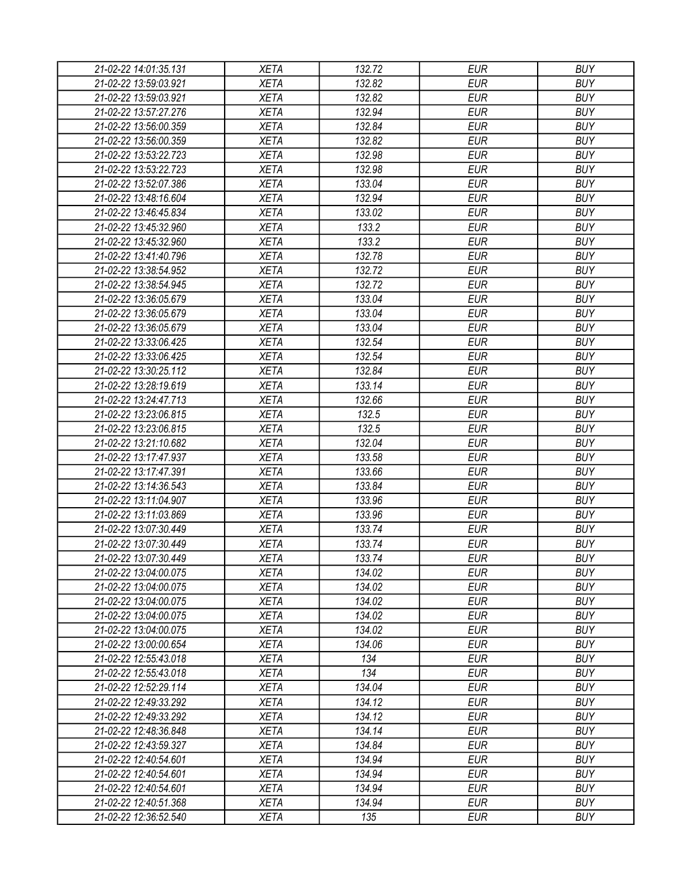| 21-02-22 14:01:35.131                          | <b>XETA</b>                | 132.72           | <b>EUR</b>               | <b>BUY</b>               |
|------------------------------------------------|----------------------------|------------------|--------------------------|--------------------------|
| 21-02-22 13:59:03.921                          | <b>XETA</b>                | 132.82           | <b>EUR</b>               | <b>BUY</b>               |
| 21-02-22 13:59:03.921                          | <b>XETA</b>                | 132.82           | <b>EUR</b>               | <b>BUY</b>               |
| 21-02-22 13:57:27.276                          | <b>XETA</b>                | 132.94           | <b>EUR</b>               | <b>BUY</b>               |
| 21-02-22 13:56:00.359                          | <b>XETA</b>                | 132.84           | <b>EUR</b>               | <b>BUY</b>               |
| 21-02-22 13:56:00.359                          | <b>XETA</b>                | 132.82           | <b>EUR</b>               | <b>BUY</b>               |
| 21-02-22 13:53:22.723                          | <b>XETA</b>                | 132.98           | <b>EUR</b>               | <b>BUY</b>               |
| 21-02-22 13:53:22.723                          | <b>XETA</b>                | 132.98           | <b>EUR</b>               | <b>BUY</b>               |
| 21-02-22 13:52:07.386                          | <b>XETA</b>                | 133.04           | <b>EUR</b>               | <b>BUY</b>               |
| 21-02-22 13:48:16.604                          | <b>XETA</b>                | 132.94           | <b>EUR</b>               | <b>BUY</b>               |
| 21-02-22 13:46:45.834                          | <b>XETA</b>                | 133.02           | <b>EUR</b>               | <b>BUY</b>               |
| 21-02-22 13:45:32.960                          | <b>XETA</b>                | 133.2            | <b>EUR</b>               | <b>BUY</b>               |
| 21-02-22 13:45:32.960                          | <b>XETA</b>                | 133.2            | <b>EUR</b>               | <b>BUY</b>               |
| 21-02-22 13:41:40.796                          | <b>XETA</b>                | 132.78           | <b>EUR</b>               | <b>BUY</b>               |
| 21-02-22 13:38:54.952                          | <b>XETA</b>                | 132.72           | <b>EUR</b>               | <b>BUY</b>               |
| 21-02-22 13:38:54.945                          | <b>XETA</b>                | 132.72           | <b>EUR</b>               | <b>BUY</b>               |
| 21-02-22 13:36:05.679                          | <b>XETA</b>                | 133.04           | <b>EUR</b>               | <b>BUY</b>               |
| 21-02-22 13:36:05.679                          | <b>XETA</b>                | 133.04           | <b>EUR</b>               | <b>BUY</b>               |
| 21-02-22 13:36:05.679                          | <b>XETA</b>                | 133.04           | <b>EUR</b>               | <b>BUY</b>               |
| 21-02-22 13:33:06.425                          | <b>XETA</b>                | 132.54           | <b>EUR</b>               | <b>BUY</b>               |
| 21-02-22 13:33:06.425                          | <b>XETA</b>                | 132.54           | <b>EUR</b>               | <b>BUY</b>               |
| 21-02-22 13:30:25.112                          | <b>XETA</b>                | 132.84           | <b>EUR</b>               | <b>BUY</b>               |
| 21-02-22 13:28:19.619                          | <b>XETA</b>                | 133.14           | <b>EUR</b>               | <b>BUY</b>               |
| 21-02-22 13:24:47.713                          | <b>XETA</b>                | 132.66           | <b>EUR</b>               | <b>BUY</b>               |
| 21-02-22 13:23:06.815                          | <b>XETA</b>                | 132.5            | <b>EUR</b>               | <b>BUY</b>               |
| 21-02-22 13:23:06.815                          | <b>XETA</b>                | 132.5            | <b>EUR</b>               | <b>BUY</b>               |
| 21-02-22 13:21:10.682                          | <b>XETA</b>                | 132.04           | <b>EUR</b>               | <b>BUY</b>               |
| 21-02-22 13:17:47.937                          | <b>XETA</b>                | 133.58           | <b>EUR</b>               | <b>BUY</b>               |
| 21-02-22 13:17:47.391                          | <b>XETA</b>                | 133.66           | <b>EUR</b>               | <b>BUY</b>               |
| 21-02-22 13:14:36.543                          | <b>XETA</b>                | 133.84           | <b>EUR</b>               | <b>BUY</b>               |
| 21-02-22 13:11:04.907                          | <b>XETA</b>                | 133.96           | <b>EUR</b>               | <b>BUY</b>               |
| 21-02-22 13:11:03.869                          | <b>XETA</b>                | 133.96           | <b>EUR</b>               | <b>BUY</b>               |
| 21-02-22 13:07:30.449                          | <b>XETA</b>                | 133.74           | <b>EUR</b>               | <b>BUY</b>               |
| 21-02-22 13:07:30.449                          | <b>XETA</b>                | 133.74           | <b>EUR</b>               | <b>BUY</b>               |
| 21-02-22 13:07:30.449                          | <b>XETA</b>                | 133.74           | <b>EUR</b>               | <b>BUY</b>               |
| 21-02-22 13:04:00.075                          | <b>XETA</b>                | 134.02           | <b>EUR</b>               | <b>BUY</b>               |
| 21-02-22 13:04:00.075                          |                            | 134.02           | <b>EUR</b>               | <b>BUY</b>               |
|                                                | <b>XETA</b>                | 134.02           | <b>EUR</b>               | <b>BUY</b>               |
| 21-02-22 13:04:00.075                          | <b>XETA</b>                |                  |                          |                          |
| 21-02-22 13:04:00.075<br>21-02-22 13:04:00.075 | <b>XETA</b><br><b>XETA</b> | 134.02<br>134.02 | <b>EUR</b><br><b>EUR</b> | <b>BUY</b><br><b>BUY</b> |
|                                                |                            |                  |                          |                          |
| 21-02-22 13:00:00.654                          | <b>XETA</b>                | 134.06           | <b>EUR</b>               | <b>BUY</b>               |
| 21-02-22 12:55:43.018                          | <b>XETA</b>                | 134              | <b>EUR</b>               | <b>BUY</b>               |
| 21-02-22 12:55:43.018                          | <b>XETA</b>                | 134              | <b>EUR</b>               | <b>BUY</b>               |
| 21-02-22 12:52:29.114                          | <b>XETA</b>                | 134.04           | <b>EUR</b>               | <b>BUY</b>               |
| 21-02-22 12:49:33.292                          | <b>XETA</b>                | 134.12           | <b>EUR</b>               | <b>BUY</b>               |
| 21-02-22 12:49:33.292                          | <b>XETA</b>                | 134.12           | <b>EUR</b>               | <b>BUY</b>               |
| 21-02-22 12:48:36.848                          | <b>XETA</b>                | 134.14           | <b>EUR</b>               | <b>BUY</b>               |
| 21-02-22 12:43:59.327                          | XETA                       | 134.84           | <b>EUR</b>               | <b>BUY</b>               |
| 21-02-22 12:40:54.601                          | <b>XETA</b>                | 134.94           | <b>EUR</b>               | <b>BUY</b>               |
| 21-02-22 12:40:54.601                          | <b>XETA</b>                | 134.94           | <b>EUR</b>               | <b>BUY</b>               |
| 21-02-22 12:40:54.601                          | <b>XETA</b>                | 134.94           | <b>EUR</b>               | <b>BUY</b>               |
| 21-02-22 12:40:51.368                          | XETA                       | 134.94           | <b>EUR</b>               | <b>BUY</b>               |
| 21-02-22 12:36:52.540                          | XETA                       | 135              | <b>EUR</b>               | <b>BUY</b>               |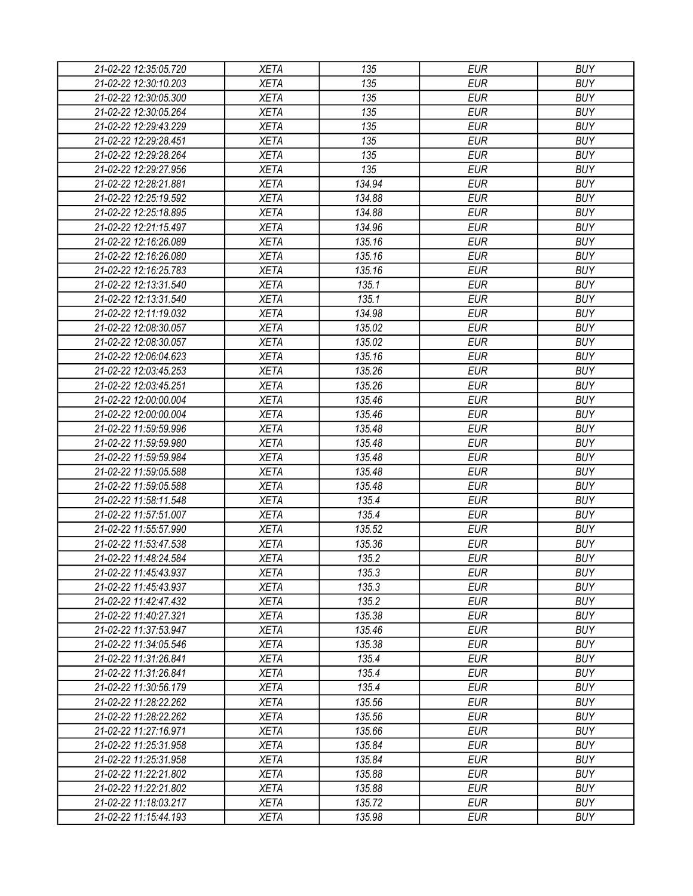| 21-02-22 12:35:05.720 | <b>XETA</b> | 135    | <b>EUR</b> | <b>BUY</b> |
|-----------------------|-------------|--------|------------|------------|
| 21-02-22 12:30:10.203 | <b>XETA</b> | 135    | <b>EUR</b> | <b>BUY</b> |
| 21-02-22 12:30:05.300 | <b>XETA</b> | 135    | <b>EUR</b> | <b>BUY</b> |
| 21-02-22 12:30:05.264 | <b>XETA</b> | 135    | <b>EUR</b> | <b>BUY</b> |
| 21-02-22 12:29:43.229 | <b>XETA</b> | 135    | <b>EUR</b> | <b>BUY</b> |
| 21-02-22 12:29:28.451 | <b>XETA</b> | 135    | <b>EUR</b> | <b>BUY</b> |
| 21-02-22 12:29:28.264 | <b>XETA</b> | 135    | <b>EUR</b> | <b>BUY</b> |
| 21-02-22 12:29:27.956 | <b>XETA</b> | 135    | <b>EUR</b> | <b>BUY</b> |
| 21-02-22 12:28:21.881 | <b>XETA</b> | 134.94 | <b>EUR</b> | <b>BUY</b> |
| 21-02-22 12:25:19.592 | <b>XETA</b> | 134.88 | <b>EUR</b> | <b>BUY</b> |
| 21-02-22 12:25:18.895 | <b>XETA</b> | 134.88 | <b>EUR</b> | <b>BUY</b> |
| 21-02-22 12:21:15.497 | <b>XETA</b> | 134.96 | <b>EUR</b> | <b>BUY</b> |
| 21-02-22 12:16:26.089 | <b>XETA</b> | 135.16 | <b>EUR</b> | <b>BUY</b> |
| 21-02-22 12:16:26.080 |             |        | <b>EUR</b> | <b>BUY</b> |
|                       | <b>XETA</b> | 135.16 |            |            |
| 21-02-22 12:16:25.783 | <b>XETA</b> | 135.16 | <b>EUR</b> | <b>BUY</b> |
| 21-02-22 12:13:31.540 | <b>XETA</b> | 135.1  | <b>EUR</b> | <b>BUY</b> |
| 21-02-22 12:13:31.540 | <b>XETA</b> | 135.1  | <b>EUR</b> | <b>BUY</b> |
| 21-02-22 12:11:19.032 | <b>XETA</b> | 134.98 | <b>EUR</b> | <b>BUY</b> |
| 21-02-22 12:08:30.057 | <b>XETA</b> | 135.02 | <b>EUR</b> | <b>BUY</b> |
| 21-02-22 12:08:30.057 | <b>XETA</b> | 135.02 | <b>EUR</b> | <b>BUY</b> |
| 21-02-22 12:06:04.623 | <b>XETA</b> | 135.16 | <b>EUR</b> | <b>BUY</b> |
| 21-02-22 12:03:45.253 | <b>XETA</b> | 135.26 | <b>EUR</b> | <b>BUY</b> |
| 21-02-22 12:03:45.251 | <b>XETA</b> | 135.26 | <b>EUR</b> | <b>BUY</b> |
| 21-02-22 12:00:00.004 | <b>XETA</b> | 135.46 | <b>EUR</b> | <b>BUY</b> |
| 21-02-22 12:00:00.004 | <b>XETA</b> | 135.46 | <b>EUR</b> | <b>BUY</b> |
| 21-02-22 11:59:59.996 | <b>XETA</b> | 135.48 | <b>EUR</b> | <b>BUY</b> |
| 21-02-22 11:59:59.980 | <b>XETA</b> | 135.48 | <b>EUR</b> | <b>BUY</b> |
| 21-02-22 11:59:59.984 | <b>XETA</b> | 135.48 | <b>EUR</b> | <b>BUY</b> |
| 21-02-22 11:59:05.588 | <b>XETA</b> | 135.48 | <b>EUR</b> | <b>BUY</b> |
| 21-02-22 11:59:05.588 | <b>XETA</b> | 135.48 | <b>EUR</b> | <b>BUY</b> |
| 21-02-22 11:58:11.548 | <b>XETA</b> | 135.4  | <b>EUR</b> | <b>BUY</b> |
| 21-02-22 11:57:51.007 | <b>XETA</b> | 135.4  | <b>EUR</b> | <b>BUY</b> |
| 21-02-22 11:55:57.990 | <b>XETA</b> | 135.52 | <b>EUR</b> | <b>BUY</b> |
| 21-02-22 11:53:47.538 | <b>XETA</b> | 135.36 | <b>EUR</b> | <b>BUY</b> |
| 21-02-22 11:48:24.584 | <b>XETA</b> | 135.2  | <b>EUR</b> | <b>BUY</b> |
| 21-02-22 11:45:43.937 | <b>XETA</b> | 135.3  | <b>EUR</b> | <b>BUY</b> |
| 21-02-22 11:45:43.937 | <b>XETA</b> | 135.3  | <b>EUR</b> | <b>BUY</b> |
| 21-02-22 11:42:47.432 | <b>XETA</b> | 135.2  | <b>EUR</b> | <b>BUY</b> |
| 21-02-22 11:40:27.321 | <b>XETA</b> | 135.38 | <b>EUR</b> | <b>BUY</b> |
| 21-02-22 11:37:53.947 | <b>XETA</b> | 135.46 | <b>EUR</b> | <b>BUY</b> |
| 21-02-22 11:34:05.546 | <b>XETA</b> | 135.38 | <b>EUR</b> | <b>BUY</b> |
| 21-02-22 11:31:26.841 | <b>XETA</b> | 135.4  | <b>EUR</b> | <b>BUY</b> |
| 21-02-22 11:31:26.841 | <b>XETA</b> | 135.4  | <b>EUR</b> | <b>BUY</b> |
| 21-02-22 11:30:56.179 | <b>XETA</b> | 135.4  | <b>EUR</b> | <b>BUY</b> |
| 21-02-22 11:28:22.262 | <b>XETA</b> | 135.56 | <b>EUR</b> | <b>BUY</b> |
| 21-02-22 11:28:22.262 | <b>XETA</b> | 135.56 | <b>EUR</b> | <b>BUY</b> |
| 21-02-22 11:27:16.971 | <b>XETA</b> | 135.66 | <b>EUR</b> | <b>BUY</b> |
| 21-02-22 11:25:31.958 | <b>XETA</b> | 135.84 | <b>EUR</b> | <b>BUY</b> |
| 21-02-22 11:25:31.958 | <b>XETA</b> | 135.84 | <b>EUR</b> | <b>BUY</b> |
| 21-02-22 11:22:21.802 | <b>XETA</b> | 135.88 | <b>EUR</b> | <b>BUY</b> |
| 21-02-22 11:22:21.802 | <b>XETA</b> | 135.88 | <b>EUR</b> | <b>BUY</b> |
| 21-02-22 11:18:03.217 | <b>XETA</b> | 135.72 | <b>EUR</b> | <b>BUY</b> |
| 21-02-22 11:15:44.193 | XETA        | 135.98 | <b>EUR</b> | <b>BUY</b> |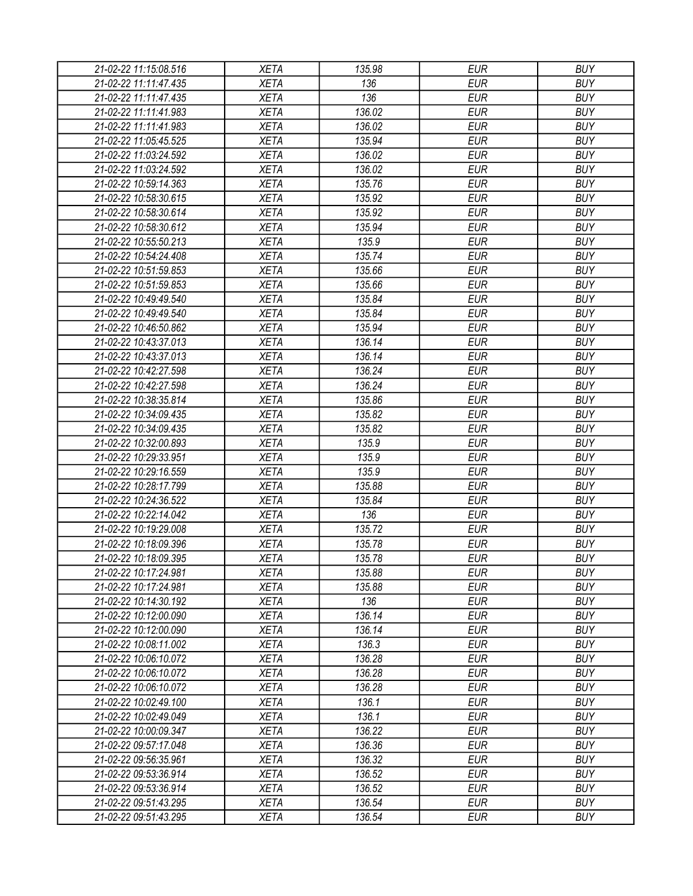| 21-02-22 11:15:08.516 | <b>XETA</b> | 135.98 | <b>EUR</b> | <b>BUY</b> |
|-----------------------|-------------|--------|------------|------------|
| 21-02-22 11:11:47.435 | <b>XETA</b> | 136    | <b>EUR</b> | <b>BUY</b> |
| 21-02-22 11:11:47.435 | <b>XETA</b> | 136    | <b>EUR</b> | <b>BUY</b> |
| 21-02-22 11:11:41.983 | <b>XETA</b> | 136.02 | <b>EUR</b> | <b>BUY</b> |
| 21-02-22 11:11:41.983 | <b>XETA</b> | 136.02 | <b>EUR</b> | <b>BUY</b> |
| 21-02-22 11:05:45.525 | <b>XETA</b> | 135.94 | <b>EUR</b> | <b>BUY</b> |
| 21-02-22 11:03:24.592 | <b>XETA</b> | 136.02 | <b>EUR</b> | <b>BUY</b> |
|                       |             |        |            |            |
| 21-02-22 11:03:24.592 | <b>XETA</b> | 136.02 | <b>EUR</b> | <b>BUY</b> |
| 21-02-22 10:59:14.363 | <b>XETA</b> | 135.76 | <b>EUR</b> | <b>BUY</b> |
| 21-02-22 10:58:30.615 | <b>XETA</b> | 135.92 | <b>EUR</b> | <b>BUY</b> |
| 21-02-22 10:58:30.614 | <b>XETA</b> | 135.92 | <b>EUR</b> | <b>BUY</b> |
| 21-02-22 10:58:30.612 | <b>XETA</b> | 135.94 | <b>EUR</b> | <b>BUY</b> |
| 21-02-22 10:55:50.213 | <b>XETA</b> | 135.9  | <b>EUR</b> | <b>BUY</b> |
| 21-02-22 10:54:24.408 | <b>XETA</b> | 135.74 | <b>EUR</b> | <b>BUY</b> |
| 21-02-22 10:51:59.853 | <b>XETA</b> | 135.66 | <b>EUR</b> | <b>BUY</b> |
| 21-02-22 10:51:59.853 | <b>XETA</b> | 135.66 | <b>EUR</b> | <b>BUY</b> |
| 21-02-22 10:49:49.540 | <b>XETA</b> | 135.84 | <b>EUR</b> | <b>BUY</b> |
| 21-02-22 10:49:49.540 | <b>XETA</b> | 135.84 | <b>EUR</b> | <b>BUY</b> |
| 21-02-22 10:46:50.862 | <b>XETA</b> | 135.94 | <b>EUR</b> | <b>BUY</b> |
| 21-02-22 10:43:37.013 | <b>XETA</b> | 136.14 | <b>EUR</b> | <b>BUY</b> |
| 21-02-22 10:43:37.013 | <b>XETA</b> | 136.14 | <b>EUR</b> | <b>BUY</b> |
| 21-02-22 10:42:27.598 | <b>XETA</b> | 136.24 | <b>EUR</b> | <b>BUY</b> |
| 21-02-22 10:42:27.598 | <b>XETA</b> | 136.24 | <b>EUR</b> | <b>BUY</b> |
| 21-02-22 10:38:35.814 | <b>XETA</b> | 135.86 | <b>EUR</b> | <b>BUY</b> |
| 21-02-22 10:34:09.435 | <b>XETA</b> | 135.82 | <b>EUR</b> | <b>BUY</b> |
| 21-02-22 10:34:09.435 | <b>XETA</b> | 135.82 | <b>EUR</b> | <b>BUY</b> |
| 21-02-22 10:32:00.893 | <b>XETA</b> | 135.9  | <b>EUR</b> | <b>BUY</b> |
| 21-02-22 10:29:33.951 | <b>XETA</b> | 135.9  | <b>EUR</b> | <b>BUY</b> |
| 21-02-22 10:29:16.559 | <b>XETA</b> | 135.9  | <b>EUR</b> | <b>BUY</b> |
| 21-02-22 10:28:17.799 | <b>XETA</b> | 135.88 | <b>EUR</b> | <b>BUY</b> |
| 21-02-22 10:24:36.522 | <b>XETA</b> | 135.84 | <b>EUR</b> | <b>BUY</b> |
| 21-02-22 10:22:14.042 | <b>XETA</b> | 136    | <b>EUR</b> | <b>BUY</b> |
| 21-02-22 10:19:29.008 | <b>XETA</b> | 135.72 | <b>EUR</b> | <b>BUY</b> |
| 21-02-22 10:18:09.396 | <b>XETA</b> | 135.78 | <b>EUR</b> | <b>BUY</b> |
| 21-02-22 10:18:09.395 | <b>XETA</b> | 135.78 | <b>EUR</b> | <b>BUY</b> |
| 21-02-22 10:17:24.981 | <b>XETA</b> | 135.88 | <b>EUR</b> | <b>BUY</b> |
| 21-02-22 10:17:24.981 | <b>XETA</b> | 135.88 | <b>EUR</b> | <b>BUY</b> |
| 21-02-22 10:14:30.192 | <b>XETA</b> | 136    | <b>EUR</b> | <b>BUY</b> |
| 21-02-22 10:12:00.090 | <b>XETA</b> | 136.14 | <b>EUR</b> | <b>BUY</b> |
| 21-02-22 10:12:00.090 | <b>XETA</b> | 136.14 | <b>EUR</b> | <b>BUY</b> |
| 21-02-22 10:08:11.002 | <b>XETA</b> | 136.3  | <b>EUR</b> | <b>BUY</b> |
| 21-02-22 10:06:10.072 | <b>XETA</b> | 136.28 | <b>EUR</b> | <b>BUY</b> |
| 21-02-22 10:06:10.072 | <b>XETA</b> | 136.28 | <b>EUR</b> | <b>BUY</b> |
| 21-02-22 10:06:10.072 | <b>XETA</b> | 136.28 | <b>EUR</b> | <b>BUY</b> |
| 21-02-22 10:02:49.100 | <b>XETA</b> | 136.1  | <b>EUR</b> | <b>BUY</b> |
| 21-02-22 10:02:49.049 | <b>XETA</b> | 136.1  | <b>EUR</b> | <b>BUY</b> |
| 21-02-22 10:00:09.347 | <b>XETA</b> | 136.22 | <b>EUR</b> | <b>BUY</b> |
|                       |             |        | <b>EUR</b> | <b>BUY</b> |
| 21-02-22 09:57:17.048 | <b>XETA</b> | 136.36 |            |            |
| 21-02-22 09:56:35.961 | <b>XETA</b> | 136.32 | <b>EUR</b> | <b>BUY</b> |
| 21-02-22 09:53:36.914 | <b>XETA</b> | 136.52 | <b>EUR</b> | <b>BUY</b> |
| 21-02-22 09:53:36.914 | <b>XETA</b> | 136.52 | <b>EUR</b> | <b>BUY</b> |
| 21-02-22 09:51:43.295 | <b>XETA</b> | 136.54 | <b>EUR</b> | <b>BUY</b> |
| 21-02-22 09:51:43.295 | <b>XETA</b> | 136.54 | <b>EUR</b> | <b>BUY</b> |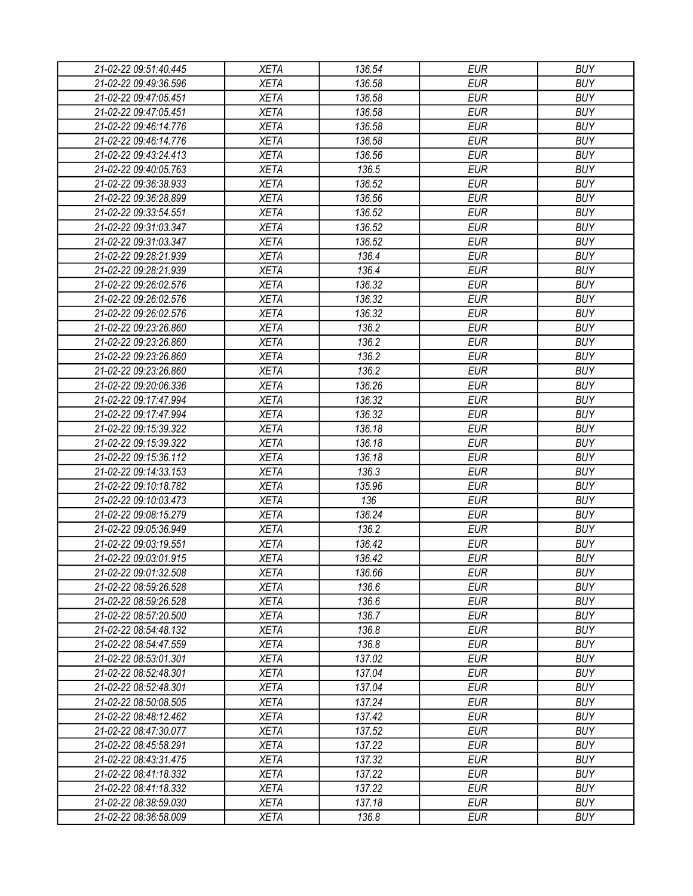| 21-02-22 09:51:40.445 | <b>XETA</b> | 136.54 | <b>EUR</b> | <b>BUY</b> |
|-----------------------|-------------|--------|------------|------------|
| 21-02-22 09:49:36.596 | <b>XETA</b> | 136.58 | <b>EUR</b> | <b>BUY</b> |
| 21-02-22 09:47:05.451 | <b>XETA</b> | 136.58 | <b>EUR</b> | <b>BUY</b> |
| 21-02-22 09:47:05.451 | <b>XETA</b> | 136.58 | <b>EUR</b> | <b>BUY</b> |
| 21-02-22 09:46:14.776 | <b>XETA</b> | 136.58 | <b>EUR</b> | <b>BUY</b> |
| 21-02-22 09:46:14.776 | <b>XETA</b> | 136.58 | <b>EUR</b> | <b>BUY</b> |
| 21-02-22 09:43:24.413 | <b>XETA</b> | 136.56 | <b>EUR</b> | <b>BUY</b> |
| 21-02-22 09:40:05.763 | <b>XETA</b> | 136.5  | <b>EUR</b> | <b>BUY</b> |
| 21-02-22 09:36:38.933 | <b>XETA</b> | 136.52 | <b>EUR</b> | <b>BUY</b> |
| 21-02-22 09:36:28.899 | <b>XETA</b> | 136.56 | <b>EUR</b> | <b>BUY</b> |
| 21-02-22 09:33:54.551 | <b>XETA</b> | 136.52 | <b>EUR</b> | <b>BUY</b> |
| 21-02-22 09:31:03.347 | <b>XETA</b> | 136.52 | <b>EUR</b> | <b>BUY</b> |
| 21-02-22 09:31:03.347 | <b>XETA</b> | 136.52 | <b>EUR</b> | <b>BUY</b> |
| 21-02-22 09:28:21.939 | <b>XETA</b> | 136.4  | <b>EUR</b> | <b>BUY</b> |
| 21-02-22 09:28:21.939 | <b>XETA</b> | 136.4  | <b>EUR</b> | <b>BUY</b> |
| 21-02-22 09:26:02.576 | <b>XETA</b> | 136.32 | <b>EUR</b> | <b>BUY</b> |
| 21-02-22 09:26:02.576 | <b>XETA</b> | 136.32 | <b>EUR</b> | <b>BUY</b> |
| 21-02-22 09:26:02.576 | <b>XETA</b> | 136.32 | <b>EUR</b> | <b>BUY</b> |
| 21-02-22 09:23:26.860 | <b>XETA</b> | 136.2  | <b>EUR</b> | <b>BUY</b> |
| 21-02-22 09:23:26.860 | <b>XETA</b> | 136.2  | <b>EUR</b> | <b>BUY</b> |
| 21-02-22 09:23:26.860 | <b>XETA</b> | 136.2  | <b>EUR</b> | <b>BUY</b> |
| 21-02-22 09:23:26.860 | <b>XETA</b> | 136.2  | <b>EUR</b> | <b>BUY</b> |
| 21-02-22 09:20:06.336 | <b>XETA</b> | 136.26 | <b>EUR</b> | <b>BUY</b> |
| 21-02-22 09:17:47.994 | <b>XETA</b> | 136.32 | <b>EUR</b> | <b>BUY</b> |
|                       | <b>XETA</b> |        | <b>EUR</b> | <b>BUY</b> |
| 21-02-22 09:17:47.994 |             | 136.32 |            |            |
| 21-02-22 09:15:39.322 | <b>XETA</b> | 136.18 | <b>EUR</b> | <b>BUY</b> |
| 21-02-22 09:15:39.322 | <b>XETA</b> | 136.18 | <b>EUR</b> | <b>BUY</b> |
| 21-02-22 09:15:36.112 | <b>XETA</b> | 136.18 | <b>EUR</b> | <b>BUY</b> |
| 21-02-22 09:14:33.153 | <b>XETA</b> | 136.3  | <b>EUR</b> | <b>BUY</b> |
| 21-02-22 09:10:18.782 | <b>XETA</b> | 135.96 | <b>EUR</b> | <b>BUY</b> |
| 21-02-22 09:10:03.473 | <b>XETA</b> | 136    | <b>EUR</b> | <b>BUY</b> |
| 21-02-22 09:08:15.279 | <b>XETA</b> | 136.24 | <b>EUR</b> | <b>BUY</b> |
| 21-02-22 09:05:36.949 | <b>XETA</b> | 136.2  | <b>EUR</b> | <b>BUY</b> |
| 21-02-22 09:03:19.551 | <b>XETA</b> | 136.42 | <b>EUR</b> | <b>BUY</b> |
| 21-02-22 09:03:01.915 | <b>XETA</b> | 136.42 | <b>EUR</b> | <b>BUY</b> |
| 21-02-22 09:01:32.508 | <b>XETA</b> | 136.66 | <b>EUR</b> | <b>BUY</b> |
| 21-02-22 08:59:26.528 | <b>XETA</b> | 136.6  | <b>EUR</b> | <b>BUY</b> |
| 21-02-22 08:59:26.528 | <b>XETA</b> | 136.6  | <b>EUR</b> | <b>BUY</b> |
| 21-02-22 08:57:20.500 | <b>XETA</b> | 136.7  | <b>EUR</b> | <b>BUY</b> |
| 21-02-22 08:54:48.132 | <b>XETA</b> | 136.8  | <b>EUR</b> | <b>BUY</b> |
| 21-02-22 08:54:47.559 | <b>XETA</b> | 136.8  | <b>EUR</b> | <b>BUY</b> |
| 21-02-22 08:53:01.301 | <b>XETA</b> | 137.02 | <b>EUR</b> | <b>BUY</b> |
| 21-02-22 08:52:48.301 | <b>XETA</b> | 137.04 | <b>EUR</b> | <b>BUY</b> |
| 21-02-22 08:52:48.301 | <b>XETA</b> | 137.04 | <b>EUR</b> | <b>BUY</b> |
| 21-02-22 08:50:08.505 | <b>XETA</b> | 137.24 | <b>EUR</b> | <b>BUY</b> |
| 21-02-22 08:48:12.462 | <b>XETA</b> | 137.42 | <b>EUR</b> | <b>BUY</b> |
| 21-02-22 08:47:30.077 | <b>XETA</b> | 137.52 | <b>EUR</b> | <b>BUY</b> |
| 21-02-22 08:45:58.291 | <b>XETA</b> | 137.22 | <b>EUR</b> | <b>BUY</b> |
| 21-02-22 08:43:31.475 | <b>XETA</b> | 137.32 | <b>EUR</b> | <b>BUY</b> |
| 21-02-22 08:41:18.332 | <b>XETA</b> | 137.22 | <b>EUR</b> | <b>BUY</b> |
| 21-02-22 08:41:18.332 | <b>XETA</b> | 137.22 | <b>EUR</b> | <b>BUY</b> |
| 21-02-22 08:38:59.030 | <b>XETA</b> | 137.18 | <b>EUR</b> | <b>BUY</b> |
| 21-02-22 08:36:58.009 | <b>XETA</b> | 136.8  | <b>EUR</b> | <b>BUY</b> |